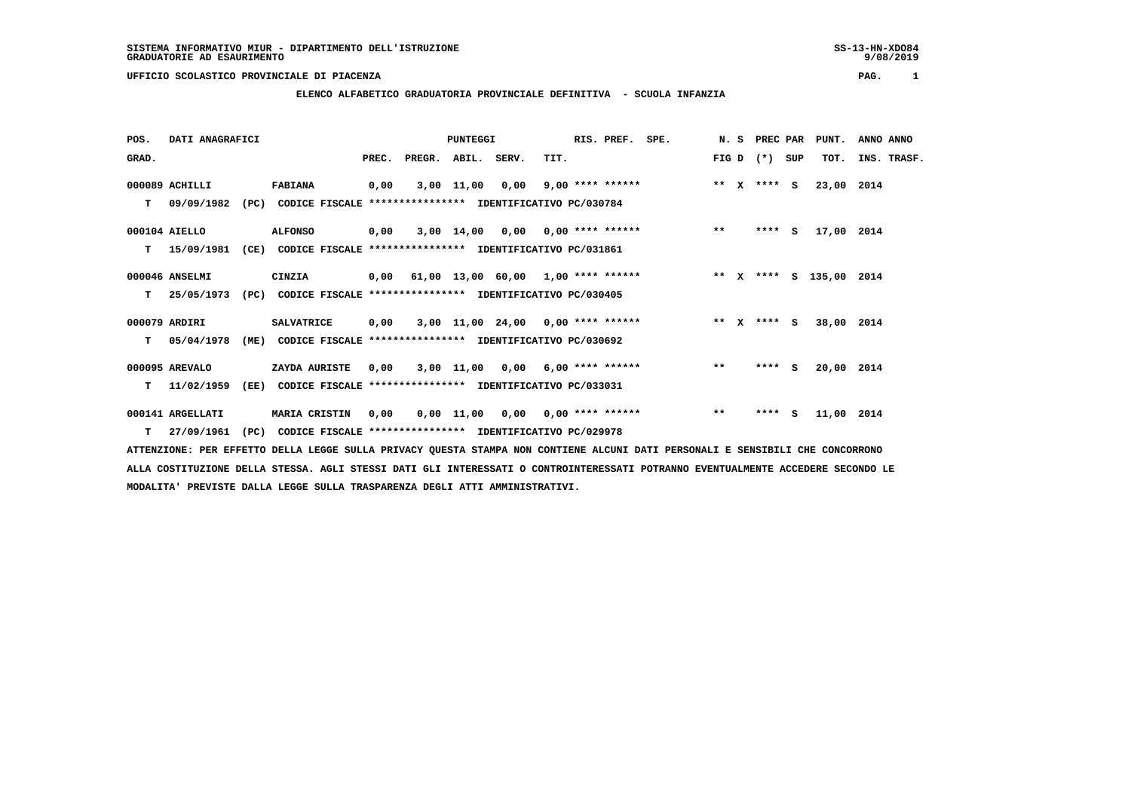# **ELENCO ALFABETICO GRADUATORIA PROVINCIALE DEFINITIVA - SCUOLA INFANZIA**

 **POS. DATI ANAGRAFICI PUNTEGGI RIS. PREF. SPE. N. S PREC PAR PUNT. ANNO ANNO**GRAD. **PREGRADE SERVEGE SERVE SERVE SERVE SERVE SERVE SERVE SERVE SERVE SERVE SERVE SERVE SERVE SERVE SERVE SERVE 000089 ACHILLI FABIANA 0,00 3,00 11,00 0,00 9,00 \*\*\*\* \*\*\*\*\*\* \*\* X \*\*\*\* S 23,00 2014 T 09/09/1982 (PC) CODICE FISCALE \*\*\*\*\*\*\*\*\*\*\*\*\*\*\*\* IDENTIFICATIVO PC/030784 000104 AIELLO ALFONSO 0,00 3,00 14,00 0,00 0,00 \*\*\*\* \*\*\*\*\*\* \*\* \*\*\*\* S 17,00 2014 T 15/09/1981 (CE) CODICE FISCALE \*\*\*\*\*\*\*\*\*\*\*\*\*\*\*\* IDENTIFICATIVO PC/031861 000046 ANSELMI CINZIA 0,00 61,00 13,00 60,00 1,00 \*\*\*\* \*\*\*\*\*\* \*\* X \*\*\*\* S 135,00 2014 T 25/05/1973 (PC) CODICE FISCALE \*\*\*\*\*\*\*\*\*\*\*\*\*\*\*\* IDENTIFICATIVO PC/030405 000079 ARDIRI SALVATRICE 0,00 3,00 11,00 24,00 0,00 \*\*\*\* \*\*\*\*\*\* \*\* X \*\*\*\* S 38,00 2014 T 05/04/1978 (ME) CODICE FISCALE \*\*\*\*\*\*\*\*\*\*\*\*\*\*\*\* IDENTIFICATIVO PC/030692 000095 AREVALO ZAYDA AURISTE 0,00 3,00 11,00 0,00 6,00 \*\*\*\* \*\*\*\*\*\* \*\* \*\*\*\* S 20,00 2014 T 11/02/1959 (EE) CODICE FISCALE \*\*\*\*\*\*\*\*\*\*\*\*\*\*\*\* IDENTIFICATIVO PC/033031 000141 ARGELLATI MARIA CRISTIN 0,00 0,00 11,00 0,00 0,00 \*\*\*\* \*\*\*\*\*\* \*\* \*\*\*\* S 11,00 2014**

 **T 27/09/1961 (PC) CODICE FISCALE \*\*\*\*\*\*\*\*\*\*\*\*\*\*\*\* IDENTIFICATIVO PC/029978**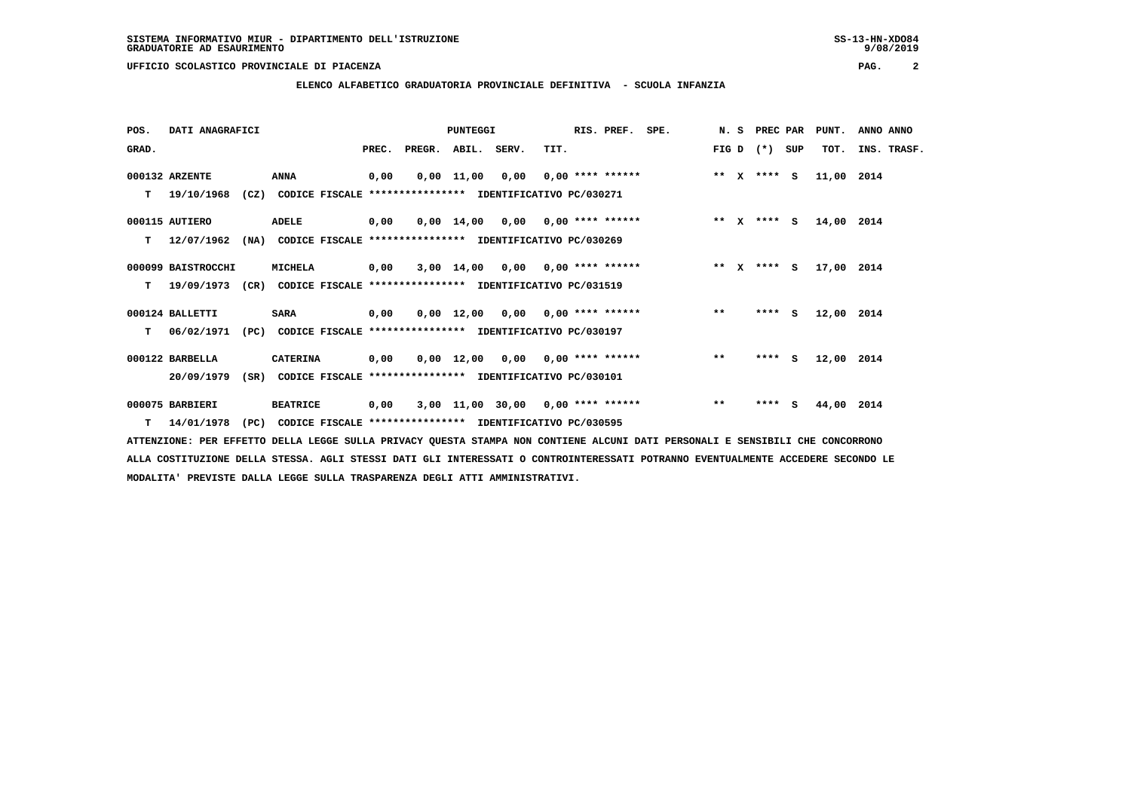**ELENCO ALFABETICO GRADUATORIA PROVINCIALE DEFINITIVA - SCUOLA INFANZIA**

| POS.  | DATI ANAGRAFICI    |                   |                                                               |       |        | PUNTEGGI           |      |                                     | RIS. PREF. | SPE. | N.S     | PREC PAR    |     | PUNT.      | ANNO ANNO   |
|-------|--------------------|-------------------|---------------------------------------------------------------|-------|--------|--------------------|------|-------------------------------------|------------|------|---------|-------------|-----|------------|-------------|
| GRAD. |                    |                   |                                                               | PREC. | PREGR. | ABIL. SERV.        |      | TIT.                                |            |      | FIG D   | $(*)$       | SUP | TOT.       | INS. TRASF. |
|       | 000132 ARZENTE     |                   | ANNA                                                          | 0,00  |        | $0,00 \quad 11,00$ | 0,00 | $0,00$ **** ******                  |            |      | $***$ X | **** S      |     | 11,00 2014 |             |
| т     | 19/10/1968         |                   | (CZ) CODICE FISCALE **************** IDENTIFICATIVO PC/030271 |       |        |                    |      |                                     |            |      |         |             |     |            |             |
|       | 000115 AUTIERO     |                   | ADELE                                                         | 0,00  |        |                    |      | $0,00$ 14,00 0,00 0,00 **** ******  |            |      | $***$ X | **** S      |     | 14,00      | 2014        |
| т     | 12/07/1962         | (NA)              | CODICE FISCALE **************** IDENTIFICATIVO PC/030269      |       |        |                    |      |                                     |            |      |         |             |     |            |             |
|       | 000099 BAISTROCCHI |                   | <b>MICHELA</b>                                                | 0,00  |        |                    |      | $3,00$ 14,00 0,00 0,00 **** ******  |            |      |         | ** x **** S |     | 17,00 2014 |             |
| т     | 19/09/1973         | (C <sub>R</sub> ) | CODICE FISCALE **************** IDENTIFICATIVO PC/031519      |       |        |                    |      |                                     |            |      |         |             |     |            |             |
|       | 000124 BALLETTI    |                   | <b>SARA</b>                                                   | 0,00  |        |                    |      | $0.00$ 12.00 0.00 0.00 **** ******  |            |      | $**$    | **** S      |     | 12,00 2014 |             |
| т     | 06/02/1971         |                   | (PC) CODICE FISCALE **************** IDENTIFICATIVO PC/030197 |       |        |                    |      |                                     |            |      |         |             |     |            |             |
|       | 000122 BARBELLA    |                   | <b>CATERINA</b>                                               | 0,00  |        |                    |      | $0,00$ 12,00 0,00 0,00 **** ******  |            |      | $***$   | $***$ S     |     | 12,00 2014 |             |
|       | 20/09/1979         | (SR)              | CODICE FISCALE **************** IDENTIFICATIVO PC/030101      |       |        |                    |      |                                     |            |      |         |             |     |            |             |
|       | 000075 BARBIERI    |                   | <b>BEATRICE</b>                                               | 0,00  |        |                    |      | $3,00$ 11,00 30,00 0,00 **** ****** |            |      | $***$   | **** S      |     | 44,00      | 2014        |
| T.    | 14/01/1978         | (PC)              | CODICE FISCALE **************** IDENTIFICATIVO PC/030595      |       |        |                    |      |                                     |            |      |         |             |     |            |             |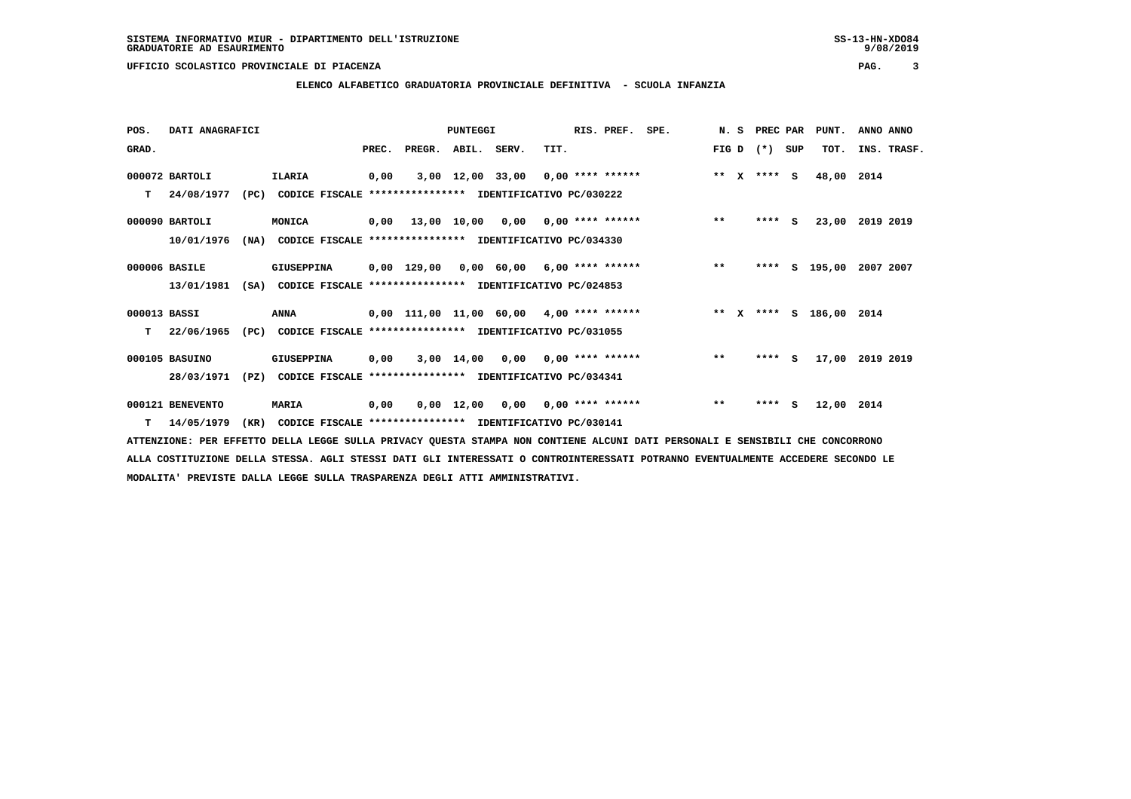**ELENCO ALFABETICO GRADUATORIA PROVINCIALE DEFINITIVA - SCUOLA INFANZIA**

| POS.         | DATI ANAGRAFICI  |      |                                                               |       |                    | PUNTEGGI           |                                                 | RIS. PREF. SPE. |  |         | N. S PREC PAR |     | PUNT.                   | ANNO ANNO |             |
|--------------|------------------|------|---------------------------------------------------------------|-------|--------------------|--------------------|-------------------------------------------------|-----------------|--|---------|---------------|-----|-------------------------|-----------|-------------|
| GRAD.        |                  |      |                                                               | PREC. | PREGR. ABIL. SERV. |                    | TIT.                                            |                 |  | FIG D   | $(* )$        | SUP | TOT.                    |           | INS. TRASF. |
|              | 000072 BARTOLI   |      | ILARIA                                                        | 0,00  |                    |                    | $3,00$ 12,00 33,00 0,00 **** ******             |                 |  | $***$ X | $***$ S       |     | 48,00                   | 2014      |             |
| т            | 24/08/1977       | (PC) | CODICE FISCALE **************** IDENTIFICATIVO PC/030222      |       |                    |                    |                                                 |                 |  |         |               |     |                         |           |             |
|              | 000090 BARTOLI   |      | MONICA                                                        | 0,00  |                    |                    | $13,00$ $10,00$ $0,00$ $0,00$ $***$ **** ****** |                 |  | $***$   | **** S        |     | 23,00                   | 2019 2019 |             |
|              | 10/01/1976       |      | (NA) CODICE FISCALE **************** IDENTIFICATIVO PC/034330 |       |                    |                    |                                                 |                 |  |         |               |     |                         |           |             |
|              | 000006 BASILE    |      | GIUSEPPINA                                                    |       |                    |                    | $0,00$ 129,00 0,00 60,00 6,00 **** ******       |                 |  | $**$    | ****          |     | s 195,00                | 2007 2007 |             |
|              | 13/01/1981       | (SA) | CODICE FISCALE **************** IDENTIFICATIVO PC/024853      |       |                    |                    |                                                 |                 |  |         |               |     |                         |           |             |
| 000013 BASSI |                  |      | ANNA                                                          |       |                    |                    | $0,00$ 111,00 11,00 60,00 4,00 **** ******      |                 |  |         |               |     | ** x **** s 186,00 2014 |           |             |
| T.           | 22/06/1965       |      | (PC) CODICE FISCALE **************** IDENTIFICATIVO PC/031055 |       |                    |                    |                                                 |                 |  |         |               |     |                         |           |             |
|              | 000105 BASUINO   |      | GIUSEPPINA                                                    | 0,00  |                    |                    | $3,00$ 14,00 0,00 0,00 **** ******              |                 |  | $***$   | **** S        |     | 17,00                   | 2019 2019 |             |
|              | 28/03/1971       | (PZ) | CODICE FISCALE **************** IDENTIFICATIVO PC/034341      |       |                    |                    |                                                 |                 |  |         |               |     |                         |           |             |
|              | 000121 BENEVENTO |      | <b>MARIA</b>                                                  | 0,00  |                    | $0,00 \quad 12,00$ | $0,00$ $0,00$ **** ******                       |                 |  | $**$    | **** S        |     | 12,00 2014              |           |             |
|              | $T = 14/05/1979$ | (KR) | CODICE FISCALE **************** IDENTIFICATIVO PC/030141      |       |                    |                    |                                                 |                 |  |         |               |     |                         |           |             |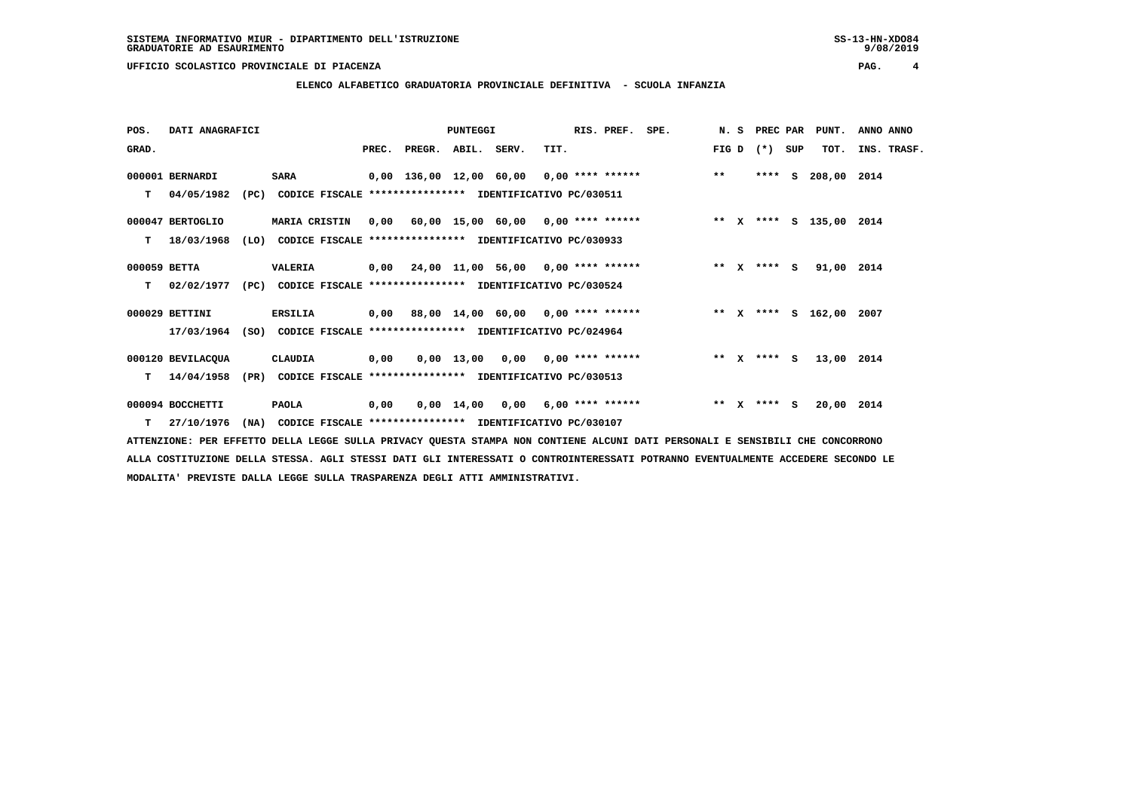**ELENCO ALFABETICO GRADUATORIA PROVINCIALE DEFINITIVA - SCUOLA INFANZIA**

| POS.         | DATI ANAGRAFICI   |      |                                                               |      |                                           | PUNTEGGI |                                    |      | RIS. PREF. SPE. |                                                                             |       |              |             |     | N. S PREC PAR PUNT. | ANNO ANNO |             |
|--------------|-------------------|------|---------------------------------------------------------------|------|-------------------------------------------|----------|------------------------------------|------|-----------------|-----------------------------------------------------------------------------|-------|--------------|-------------|-----|---------------------|-----------|-------------|
| GRAD.        |                   |      |                                                               |      | PREC. PREGR. ABIL. SERV.                  |          |                                    | TIT. |                 |                                                                             | FIG D |              | $(* )$      | SUP | TOT.                |           | INS. TRASF. |
|              |                   |      |                                                               |      |                                           |          |                                    |      |                 |                                                                             | $***$ |              | $***$ S     |     |                     |           |             |
|              | 000001 BERNARDI   |      | <b>SARA</b>                                                   |      |                                           |          |                                    |      |                 | 0,00 136,00 12,00 60,00 0,00 **** ******                                    |       |              |             |     | 208,00 2014         |           |             |
| т            | 04/05/1982        | (PC) | CODICE FISCALE **************** IDENTIFICATIVO PC/030511      |      |                                           |          |                                    |      |                 |                                                                             |       |              |             |     |                     |           |             |
|              | 000047 BERTOGLIO  |      | <b>MARIA CRISTIN</b>                                          |      |                                           |          |                                    |      |                 | 0,00 60,00 15,00 60,00 0,00 **** ****** **** *** ** **** S 135,00 2014      |       |              |             |     |                     |           |             |
|              | 18/03/1968        |      | CODICE FISCALE **************** IDENTIFICATIVO PC/030933      |      |                                           |          |                                    |      |                 |                                                                             |       |              |             |     |                     |           |             |
| т            |                   | (LO) |                                                               |      |                                           |          |                                    |      |                 |                                                                             |       |              |             |     |                     |           |             |
| 000059 BETTA |                   |      | <b>VALERIA</b>                                                |      | $0,00$ 24,00 11,00 56,00 0,00 **** ****** |          |                                    |      |                 | $\star \star$ X                                                             |       |              | **** S      |     | 91,00 2014          |           |             |
|              | 02/02/1977        |      | (PC) CODICE FISCALE **************** IDENTIFICATIVO PC/030524 |      |                                           |          |                                    |      |                 |                                                                             |       |              |             |     |                     |           |             |
| т            |                   |      |                                                               |      |                                           |          |                                    |      |                 |                                                                             |       |              |             |     |                     |           |             |
|              | 000029 BETTINI    |      | <b>ERSILIA</b>                                                |      |                                           |          |                                    |      |                 | 0,00 88,00 14,00 60,00 0,00 **** ******             ** x **** s 162,00 2007 |       |              |             |     |                     |           |             |
|              | 17/03/1964        |      | (SO) CODICE FISCALE **************** IDENTIFICATIVO PC/024964 |      |                                           |          |                                    |      |                 |                                                                             |       |              |             |     |                     |           |             |
|              |                   |      |                                                               |      |                                           |          |                                    |      |                 |                                                                             |       |              |             |     |                     |           |             |
|              | 000120 BEVILACQUA |      | CLAUDIA                                                       | 0,00 |                                           |          | $0,00$ 13,00 0,00 0,00 **** ****** |      |                 |                                                                             |       |              | ** x **** S |     | 13,00 2014          |           |             |
| т            | 14/04/1958        | (PR) | CODICE FISCALE **************** IDENTIFICATIVO PC/030513      |      |                                           |          |                                    |      |                 |                                                                             |       |              |             |     |                     |           |             |
|              |                   |      |                                                               |      |                                           |          |                                    |      |                 |                                                                             |       |              |             |     |                     |           |             |
|              | 000094 BOCCHETTI  |      | <b>PAOLA</b>                                                  | 0,00 |                                           |          | $0.00$ 14.00 0.00 6.00 **** ****** |      |                 |                                                                             | $***$ | $\mathbf{x}$ | $***$ S     |     | 20,00 2014          |           |             |
| т            | 27/10/1976        |      | (NA) CODICE FISCALE **************** IDENTIFICATIVO PC/030107 |      |                                           |          |                                    |      |                 |                                                                             |       |              |             |     |                     |           |             |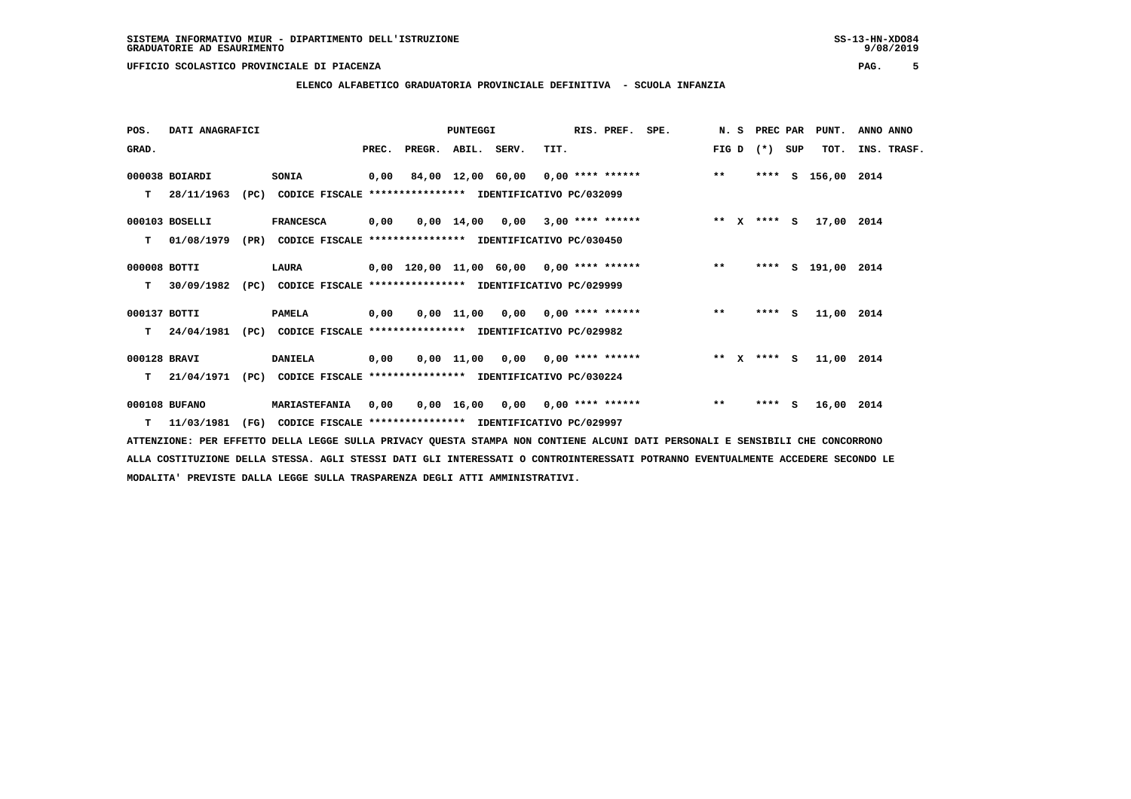**ELENCO ALFABETICO GRADUATORIA PROVINCIALE DEFINITIVA - SCUOLA INFANZIA**

| POS.         | DATI ANAGRAFICI  |      |                                                               |       |                                           | PUNTEGGI |                                    |      | RIS. PREF. SPE. |       | N. S PREC PAR |     | PUNT.              | ANNO ANNO |             |
|--------------|------------------|------|---------------------------------------------------------------|-------|-------------------------------------------|----------|------------------------------------|------|-----------------|-------|---------------|-----|--------------------|-----------|-------------|
| GRAD.        |                  |      |                                                               | PREC. | PREGR. ABIL. SERV.                        |          |                                    | TIT. |                 | FIG D | $(* )$        | SUP | TOT.               |           | INS. TRASF. |
|              | 000038 BOIARDI   |      | SONIA                                                         |       | $0,00$ 84,00 12,00 60,00 0,00 **** ****** |          |                                    |      |                 | $***$ |               |     | **** S 156,00 2014 |           |             |
| т            | 28/11/1963       | (PC) | CODICE FISCALE **************** IDENTIFICATIVO PC/032099      |       |                                           |          |                                    |      |                 |       |               |     |                    |           |             |
|              | 000103 BOSELLI   |      | <b>FRANCESCA</b>                                              | 0,00  |                                           |          | $0,00$ 14,00 0,00 3,00 **** ****** |      |                 |       | ** x **** s   |     | 17,00 2014         |           |             |
| T.           | 01/08/1979       |      | (PR) CODICE FISCALE **************** IDENTIFICATIVO PC/030450 |       |                                           |          |                                    |      |                 |       |               |     |                    |           |             |
| 000008 BOTTI |                  |      | LAURA                                                         |       | 0,00 120,00 11,00 60,00 0,00 **** ******  |          |                                    |      |                 | $***$ |               |     | **** S 191,00 2014 |           |             |
| T.           | 30/09/1982       | (PC) | CODICE FISCALE **************** IDENTIFICATIVO PC/029999      |       |                                           |          |                                    |      |                 |       |               |     |                    |           |             |
| 000137 BOTTI |                  |      | <b>PAMELA</b>                                                 | 0,00  |                                           |          | 0,00 11,00 0,00 0,00 **** ******   |      |                 | $***$ | $***5$        |     | 11,00 2014         |           |             |
| T.           | 24/04/1981       |      | (PC) CODICE FISCALE **************** IDENTIFICATIVO PC/029982 |       |                                           |          |                                    |      |                 |       |               |     |                    |           |             |
| 000128 BRAVI |                  |      | <b>DANIELA</b>                                                | 0,00  |                                           |          | $0,00$ 11,00 0,00 0,00 **** ****** |      |                 |       | ** x **** S   |     | 11,00 2014         |           |             |
| т            | 21/04/1971       | (PC) | CODICE FISCALE **************** IDENTIFICATIVO PC/030224      |       |                                           |          |                                    |      |                 |       |               |     |                    |           |             |
|              | 000108 BUFANO    |      | MARIASTEFANIA                                                 | 0,00  |                                           |          | $0,00$ 16,00 0,00 0,00 **** ****** |      |                 | $***$ | **** S        |     | 16,00 2014         |           |             |
|              | $T = 11/03/1981$ | (FG) | CODICE FISCALE **************** IDENTIFICATIVO PC/029997      |       |                                           |          |                                    |      |                 |       |               |     |                    |           |             |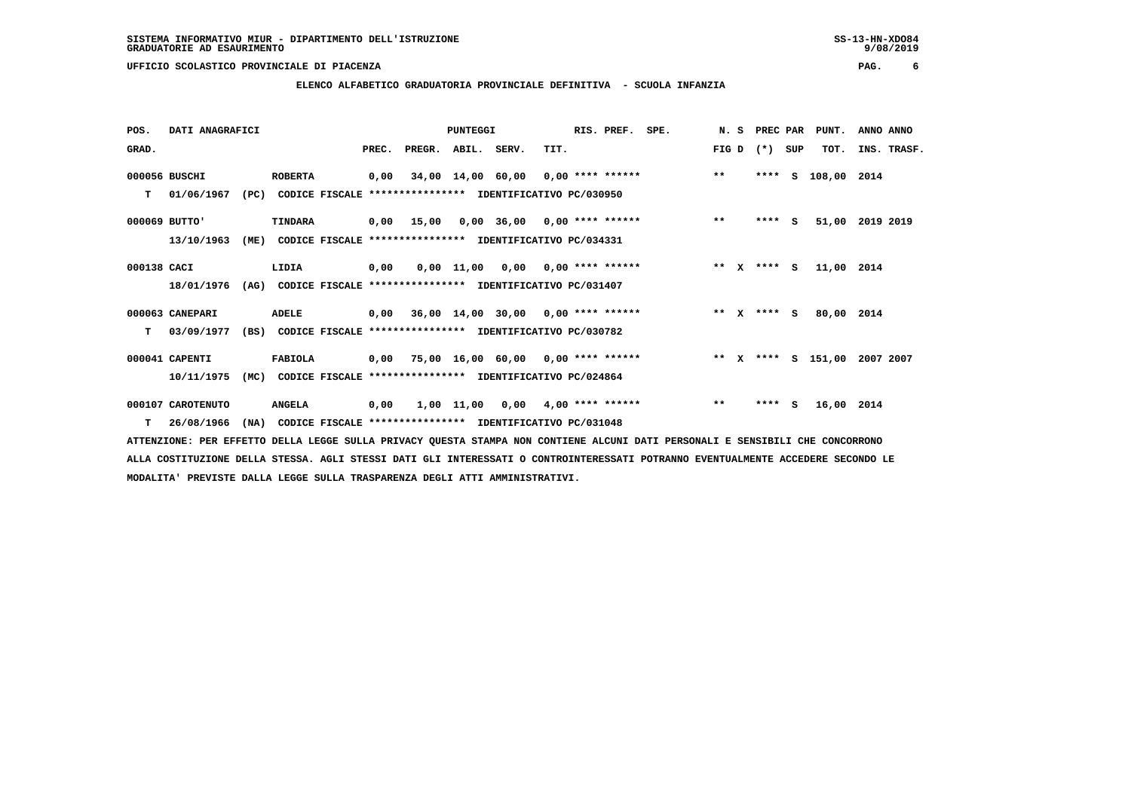# **ELENCO ALFABETICO GRADUATORIA PROVINCIALE DEFINITIVA - SCUOLA INFANZIA**

| POS.        | DATI ANAGRAFICI   |      |                                                               |       |                    | <b>PUNTEGGI</b> |                                                          |      | RIS. PREF. | SPE.                                           |         | N.S | PREC PAR |     | PUNT.                        | ANNO ANNO |             |
|-------------|-------------------|------|---------------------------------------------------------------|-------|--------------------|-----------------|----------------------------------------------------------|------|------------|------------------------------------------------|---------|-----|----------|-----|------------------------------|-----------|-------------|
| GRAD.       |                   |      |                                                               | PREC. | PREGR. ABIL. SERV. |                 |                                                          | TIT. |            |                                                | FIG D   |     | $(*)$    | SUP | TOT.                         |           | INS. TRASF. |
|             | 000056 BUSCHI     |      | <b>ROBERTA</b>                                                |       |                    |                 |                                                          |      |            | 0,00 34,00 14,00 60,00 0,00 **** ****** *** ** |         |     | ****     | S.  | 108,00 2014                  |           |             |
| T.          | 01/06/1967        |      | (PC) CODICE FISCALE **************** IDENTIFICATIVO PC/030950 |       |                    |                 |                                                          |      |            |                                                |         |     |          |     |                              |           |             |
|             | 000069 BUTTO'     |      | TINDARA                                                       |       |                    |                 |                                                          |      |            | 0,00 15,00 0,00 36,00 0,00 **** ******         | $***$   |     | ****     | s.  | 51,00 2019 2019              |           |             |
|             | 13/10/1963        | (ME) |                                                               |       |                    |                 | CODICE FISCALE **************** IDENTIFICATIVO PC/034331 |      |            |                                                |         |     |          |     |                              |           |             |
| 000138 CACI |                   |      | LIDIA                                                         | 0,00  |                    |                 | $0,00$ 11,00 0,00 0,00 **** ******                       |      |            |                                                | $***$ X |     | $***$ S  |     | 11,00 2014                   |           |             |
|             | 18/01/1976        | (AG) |                                                               |       |                    |                 | CODICE FISCALE **************** IDENTIFICATIVO PC/031407 |      |            |                                                |         |     |          |     |                              |           |             |
|             | 000063 CANEPARI   |      | ADELE                                                         |       |                    |                 | $0,00$ 36,00 14,00 30,00 0,00 **** ******                |      |            | $***$ $X$ $***$ $S$                            |         |     |          |     | 80,00 2014                   |           |             |
| т           | 03/09/1977        |      | (BS) CODICE FISCALE **************** IDENTIFICATIVO PC/030782 |       |                    |                 |                                                          |      |            |                                                |         |     |          |     |                              |           |             |
|             | 000041 CAPENTI    |      | FABIOLA                                                       |       |                    |                 | $0,00$ 75,00 16,00 60,00 0,00 **** ******                |      |            |                                                |         |     |          |     | ** X **** S 151,00 2007 2007 |           |             |
|             | 10/11/1975        | (MC) |                                                               |       |                    |                 | CODICE FISCALE **************** IDENTIFICATIVO PC/024864 |      |            |                                                |         |     |          |     |                              |           |             |
|             | 000107 CAROTENUTO |      | <b>ANGELA</b>                                                 | 0,00  |                    |                 | $1,00$ $11,00$ $0,00$ $4,00$ **** ******                 |      |            |                                                | $***$   |     | **** S   |     | 16,00 2014                   |           |             |
|             | 26/08/1966        |      | (NA) CODICE FISCALE **************** IDENTIFICATIVO PC/031048 |       |                    |                 |                                                          |      |            |                                                |         |     |          |     |                              |           |             |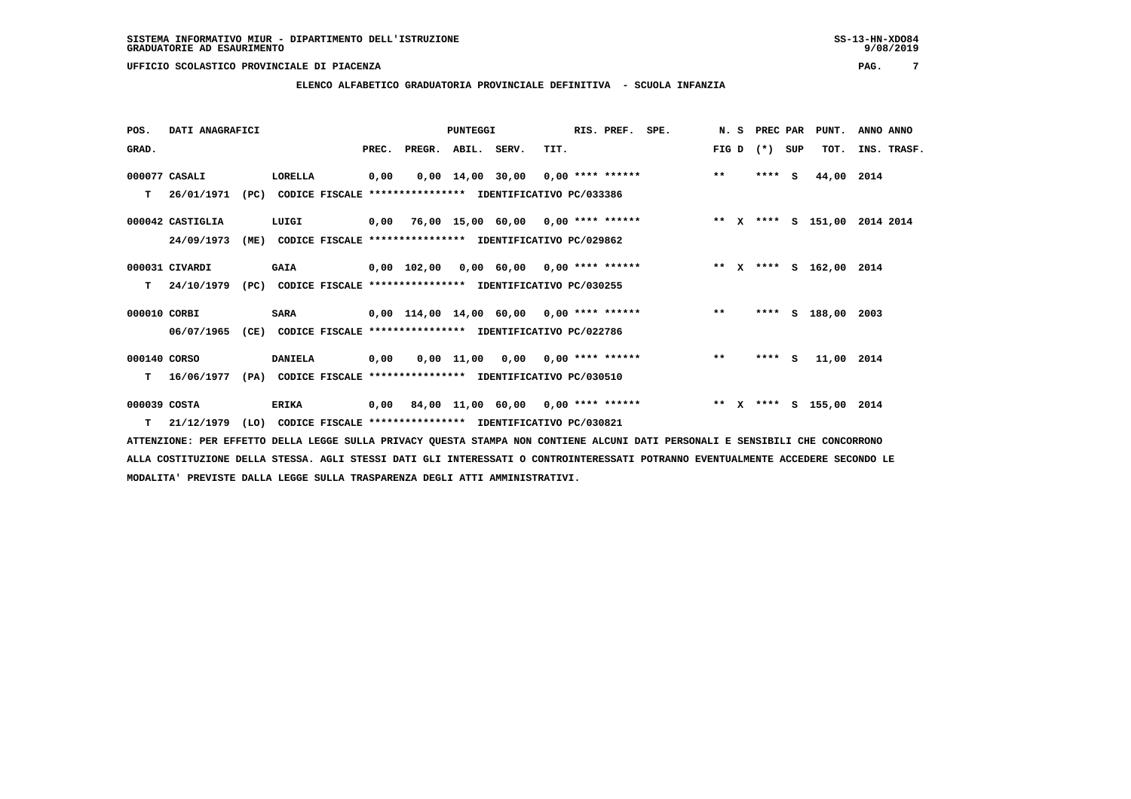**ELENCO ALFABETICO GRADUATORIA PROVINCIALE DEFINITIVA - SCUOLA INFANZIA**

| POS.         | DATI ANAGRAFICI  |      |                                                               |  |      |                                         | PUNTEGGI |                                    |      | RIS. PREF. SPE. |                                                                           |       |         |     | N. S PREC PAR PUNT. | ANNO ANNO |             |
|--------------|------------------|------|---------------------------------------------------------------|--|------|-----------------------------------------|----------|------------------------------------|------|-----------------|---------------------------------------------------------------------------|-------|---------|-----|---------------------|-----------|-------------|
| GRAD.        |                  |      |                                                               |  |      | PREC. PREGR. ABIL. SERV.                |          |                                    | TIT. |                 |                                                                           | FIG D | $(* )$  | SUP | TOT.                |           | INS. TRASF. |
|              | 000077 CASALI    |      | LORELLA                                                       |  | 0,00 |                                         |          |                                    |      |                 | $0,00$ 14,00 30,00 0,00 **** ****** *** **                                |       | $***$ S |     | 44,00 2014          |           |             |
| т            | 26/01/1971       | (PC) | CODICE FISCALE **************** IDENTIFICATIVO PC/033386      |  |      |                                         |          |                                    |      |                 |                                                                           |       |         |     |                     |           |             |
|              | 000042 CASTIGLIA |      | LUIGI                                                         |  |      |                                         |          |                                    |      |                 | 0,00 76,00 15,00 60,00 0,00 **** ******      ** x **** s 151,00 2014 2014 |       |         |     |                     |           |             |
|              | 24/09/1973       | (ME) | CODICE FISCALE **************** IDENTIFICATIVO PC/029862      |  |      |                                         |          |                                    |      |                 |                                                                           |       |         |     |                     |           |             |
|              | 000031 CIVARDI   |      | <b>GAIA</b>                                                   |  |      | 0,00 102,00 0,00 60,00 0,00 **** ****** |          |                                    |      |                 | ** X **** S 162,00 2014                                                   |       |         |     |                     |           |             |
| т            | 24/10/1979       |      | (PC) CODICE FISCALE **************** IDENTIFICATIVO PC/030255 |  |      |                                         |          |                                    |      |                 |                                                                           |       |         |     |                     |           |             |
| 000010 CORBI |                  |      | <b>SARA</b>                                                   |  |      |                                         |          |                                    |      |                 | 0,00 114,00 14,00 60,00 0,00 **** ****** *** **                           |       |         |     | **** S 188,00 2003  |           |             |
|              | 06/07/1965       | (CE) | CODICE FISCALE **************** IDENTIFICATIVO PC/022786      |  |      |                                         |          |                                    |      |                 |                                                                           |       |         |     |                     |           |             |
| 000140 CORSO |                  |      | <b>DANIELA</b>                                                |  | 0,00 |                                         |          | $0,00$ 11,00 0,00 0,00 **** ****** |      |                 |                                                                           | $***$ | $***$ S |     | 11,00 2014          |           |             |
| т            | 16/06/1977       |      | (PA) CODICE FISCALE **************** IDENTIFICATIVO PC/030510 |  |      |                                         |          |                                    |      |                 |                                                                           |       |         |     |                     |           |             |
| 000039 COSTA |                  |      | <b>ERIKA</b>                                                  |  |      |                                         |          |                                    |      |                 | 0,00 84,00 11,00 60,00 0,00 **** ****** * *** * **** \$ 155,00 2014       |       |         |     |                     |           |             |
| т            | 21/12/1979       |      | (LO) CODICE FISCALE **************** IDENTIFICATIVO PC/030821 |  |      |                                         |          |                                    |      |                 |                                                                           |       |         |     |                     |           |             |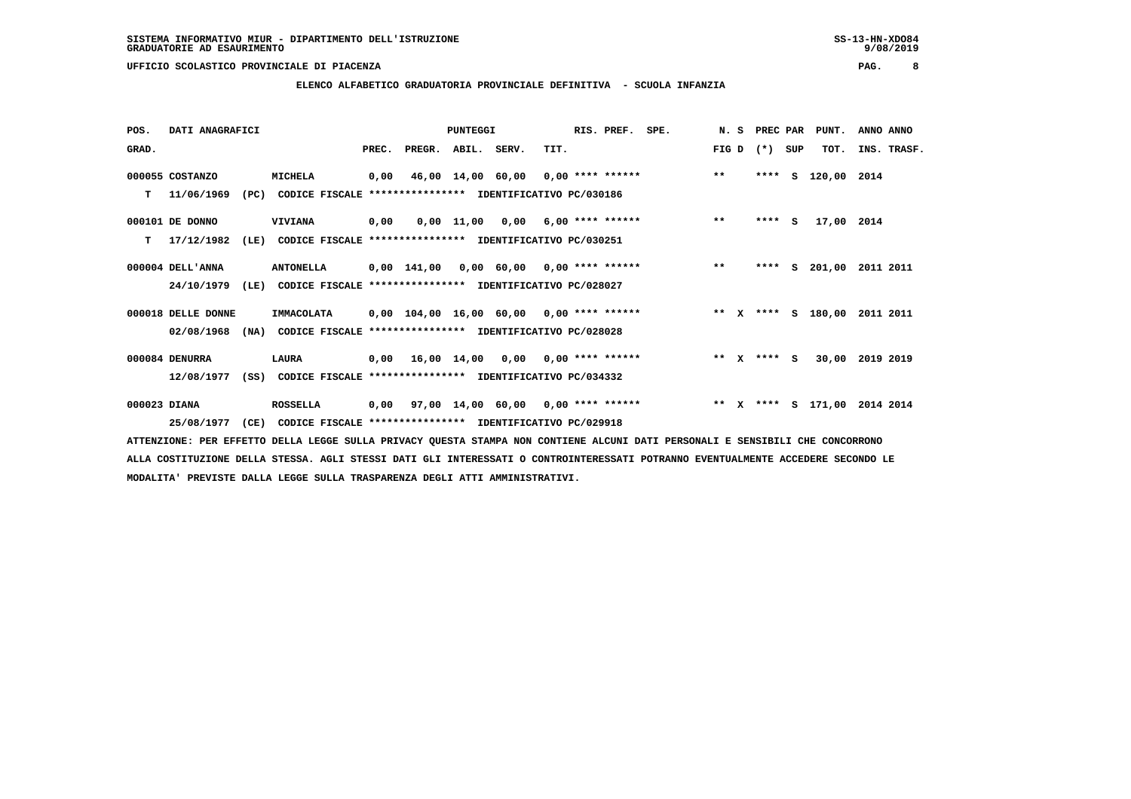**ELENCO ALFABETICO GRADUATORIA PROVINCIALE DEFINITIVA - SCUOLA INFANZIA**

| POS.         | DATI ANAGRAFICI    |      |                                                               |       |        | <b>PUNTEGGI</b> |                                         |      | RIS. PREF. SPE. |                                                                     |       | N. S PREC PAR |     | PUNT.         | ANNO ANNO   |  |
|--------------|--------------------|------|---------------------------------------------------------------|-------|--------|-----------------|-----------------------------------------|------|-----------------|---------------------------------------------------------------------|-------|---------------|-----|---------------|-------------|--|
| GRAD.        |                    |      |                                                               | PREC. | PREGR. | ABIL. SERV.     |                                         | TIT. |                 |                                                                     | FIG D | $(* )$        | SUP | TOT.          | INS. TRASF. |  |
|              | 000055 COSTANZO    |      | <b>MICHELA</b>                                                |       |        |                 |                                         |      |                 | 0,00 46,00 14,00 60,00 0,00 **** ****** **** **                     |       | ****          |     | S 120,00 2014 |             |  |
|              | $T = 11/06/1969$   |      | (PC) CODICE FISCALE **************** IDENTIFICATIVO PC/030186 |       |        |                 |                                         |      |                 |                                                                     |       |               |     |               |             |  |
|              | 000101 DE DONNO    |      | <b>VIVIANA</b>                                                | 0,00  |        |                 |                                         |      |                 | $0,00$ 11,00 0,00 6,00 **** ****** *** **                           |       | **** S        |     | 17,00 2014    |             |  |
| T.           | 17/12/1982         | (LE) | CODICE FISCALE **************** IDENTIFICATIVO PC/030251      |       |        |                 |                                         |      |                 |                                                                     |       |               |     |               |             |  |
|              | 000004 DELL'ANNA   |      | <b>ANTONELLA</b>                                              |       |        |                 |                                         |      |                 | 0,00 141,00 0,00 60,00 0,00 **** ******           **                |       | ****          | S.  | 201,00        | 2011 2011   |  |
|              | 24/10/1979         |      | (LE) CODICE FISCALE **************** IDENTIFICATIVO PC/028027 |       |        |                 |                                         |      |                 |                                                                     |       |               |     |               |             |  |
|              | 000018 DELLE DONNE |      | IMMACOLATA                                                    |       |        |                 |                                         |      |                 | 0,00 104,00 16,00 60,00  0,00 **** ******       **  x **** S 180,00 |       |               |     |               | 2011 2011   |  |
|              | 02/08/1968         | (NA) | CODICE FISCALE **************** IDENTIFICATIVO PC/028028      |       |        |                 |                                         |      |                 |                                                                     |       |               |     |               |             |  |
|              | 000084 DENURRA     |      | LAURA                                                         |       |        |                 | 0,00 16,00 14,00 0,00 0,00 **** ******  |      |                 |                                                                     |       | ** x **** S   |     | 30,00         | 2019 2019   |  |
|              | 12/08/1977         |      | (SS) CODICE FISCALE **************** IDENTIFICATIVO PC/034332 |       |        |                 |                                         |      |                 |                                                                     |       |               |     |               |             |  |
| 000023 DIANA |                    |      | <b>ROSSELLA</b>                                               |       |        |                 | 0,00 97,00 14,00 60,00 0,00 **** ****** |      |                 | ** X **** S 171,00 2014 2014                                        |       |               |     |               |             |  |
|              | 25/08/1977         | (CE) | CODICE FISCALE **************** IDENTIFICATIVO PC/029918      |       |        |                 |                                         |      |                 |                                                                     |       |               |     |               |             |  |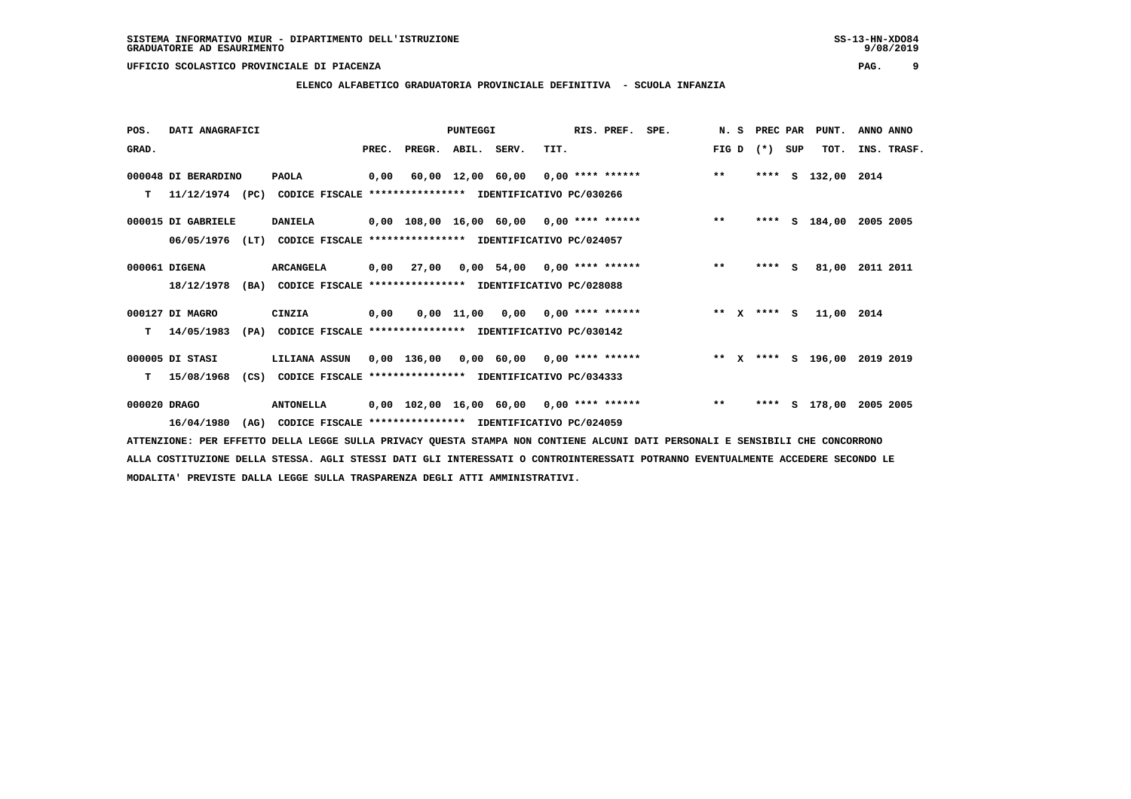**ELENCO ALFABETICO GRADUATORIA PROVINCIALE DEFINITIVA - SCUOLA INFANZIA**

| POS.         | DATI ANAGRAFICI     |                                                                         |       |        | <b>PUNTEGGI</b> |                                           |      | RIS. PREF. SPE. |                                                 |       | N. S | <b>PREC PAR</b> |     | PUNT.              | ANNO ANNO   |
|--------------|---------------------|-------------------------------------------------------------------------|-------|--------|-----------------|-------------------------------------------|------|-----------------|-------------------------------------------------|-------|------|-----------------|-----|--------------------|-------------|
| GRAD.        |                     |                                                                         | PREC. | PREGR. | ABIL. SERV.     |                                           | TIT. |                 |                                                 | FIG D |      | $(*)$           | SUP | TOT.               | INS. TRASF. |
|              | 000048 DI BERARDINO | <b>PAOLA</b>                                                            | 0,00  |        |                 |                                           |      |                 | 60,00 12,00 60,00 0,00 **** ****** *** **       |       |      |                 |     | **** S 132,00 2014 |             |
| T.           |                     | 11/12/1974 (PC) CODICE FISCALE *************** IDENTIFICATIVO PC/030266 |       |        |                 |                                           |      |                 |                                                 |       |      |                 |     |                    |             |
|              | 000015 DI GABRIELE  | <b>DANIELA</b>                                                          |       |        |                 |                                           |      |                 | 0,00 108,00 16,00 60,00 0,00 **** ****** *** ** |       |      |                 |     | **** S 184,00      | 2005 2005   |
|              | 06/05/1976<br>(LT)  | CODICE FISCALE **************** IDENTIFICATIVO PC/024057                |       |        |                 |                                           |      |                 |                                                 |       |      |                 |     |                    |             |
|              | 000061 DIGENA       | ARCANGELA                                                               | 0,00  |        |                 |                                           |      |                 | 27,00 0,00 54,00 0,00 **** ****** *** **        |       |      | **** S          |     | 81,00              | 2011 2011   |
|              | 18/12/1978          | (BA) CODICE FISCALE **************** IDENTIFICATIVO PC/028088           |       |        |                 |                                           |      |                 |                                                 |       |      |                 |     |                    |             |
|              | 000127 DI MAGRO     | CINZIA                                                                  | 0,00  |        |                 | $0,00$ 11,00 0,00 0,00 **** ******        |      |                 | $*** x*** s$                                    |       |      |                 |     | 11,00 2014         |             |
| T.           | 14/05/1983          | CODICE FISCALE **************** IDENTIFICATIVO PC/030142<br>(PA)        |       |        |                 |                                           |      |                 |                                                 |       |      |                 |     |                    |             |
|              | 000005 DI STASI     | <b>LILIANA ASSUN</b>                                                    |       |        |                 | $0,00$ 136,00 0,00 60,00 0,00 **** ****** |      |                 | ** X **** S 196,00 2019 2019                    |       |      |                 |     |                    |             |
| т            | 15/08/1968          | (CS) CODICE FISCALE **************** IDENTIFICATIVO PC/034333           |       |        |                 |                                           |      |                 |                                                 |       |      |                 |     |                    |             |
| 000020 DRAGO |                     | <b>ANTONELLA</b>                                                        |       |        |                 | 0,00 102,00 16,00 60,00 0,00 **** ******  |      |                 |                                                 | $***$ |      |                 |     | **** S 178,00      | 2005 2005   |
|              | 16/04/1980<br>(AG)  | CODICE FISCALE **************** IDENTIFICATIVO PC/024059                |       |        |                 |                                           |      |                 |                                                 |       |      |                 |     |                    |             |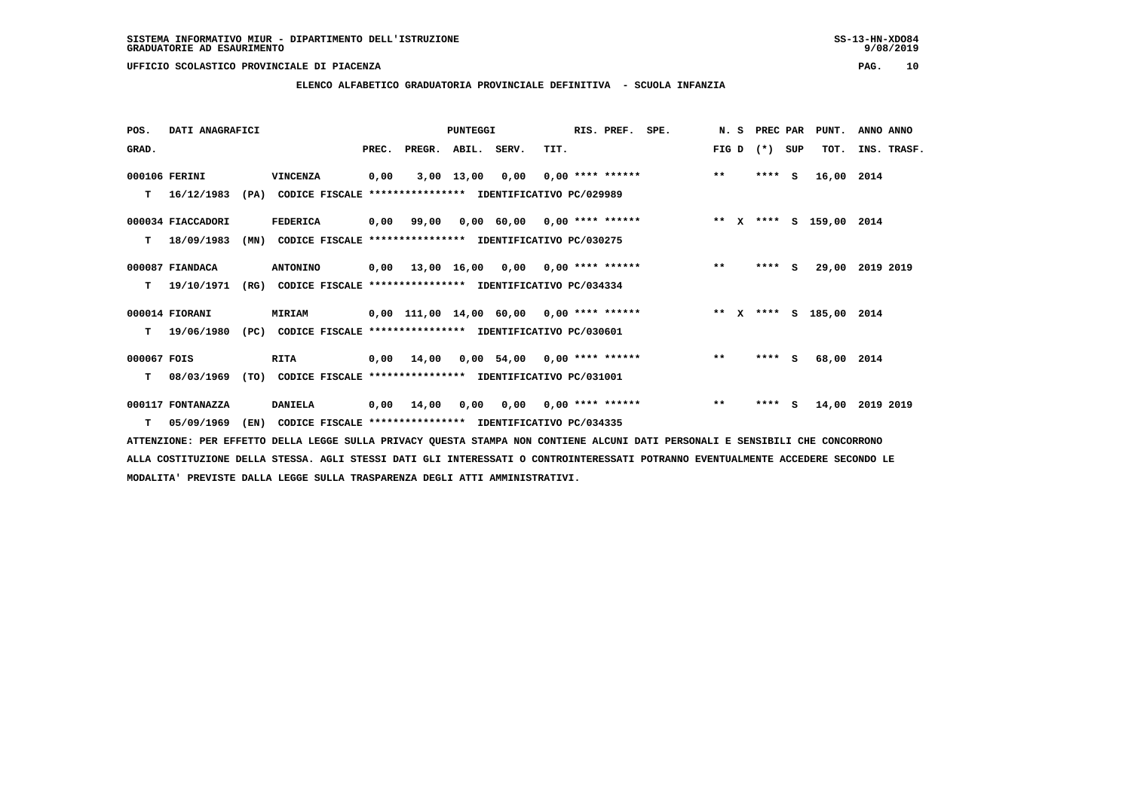**ELENCO ALFABETICO GRADUATORIA PROVINCIALE DEFINITIVA - SCUOLA INFANZIA**

| POS.        | DATI ANAGRAFICI   |      |                                                               |       |                                            | PUNTEGGI        |                               |      | RIS. PREF. | SPE.                                   | N.S   | PREC PAR |     | PUNT.      | ANNO ANNO       |
|-------------|-------------------|------|---------------------------------------------------------------|-------|--------------------------------------------|-----------------|-------------------------------|------|------------|----------------------------------------|-------|----------|-----|------------|-----------------|
| GRAD.       |                   |      |                                                               | PREC. | PREGR.                                     | ABIL. SERV.     |                               | TIT. |            |                                        | FIG D | $(*)$    | SUP | TOT.       | INS. TRASF.     |
|             | 000106 FERINI     |      | VINCENZA                                                      | 0,00  |                                            | 3,00 13,00 0,00 |                               |      |            | $0,00$ **** ******                     | $***$ | $***$ S  |     | 16,00      | 2014            |
| т           | 16/12/1983        |      | (PA) CODICE FISCALE **************** IDENTIFICATIVO PC/029989 |       |                                            |                 |                               |      |            |                                        |       |          |     |            |                 |
|             | 000034 FIACCADORI |      | FEDERICA                                                      |       | $0,00$ 99,00 0,00 60,00 0,00 **** ******   |                 |                               |      |            | ** x **** s 159,00 2014                |       |          |     |            |                 |
| т           | 18/09/1983        | (MN) | CODICE FISCALE **************** IDENTIFICATIVO PC/030275      |       |                                            |                 |                               |      |            |                                        |       |          |     |            |                 |
|             | 000087 FIANDACA   |      | <b>ANTONINO</b>                                               |       |                                            |                 |                               |      |            | 0,00 13,00 16,00 0,00 0,00 **** ****** | $**$  | **** S   |     |            | 29,00 2019 2019 |
| т           | 19/10/1971        |      | (RG) CODICE FISCALE **************** IDENTIFICATIVO PC/034334 |       |                                            |                 |                               |      |            |                                        |       |          |     |            |                 |
|             | 000014 FIORANI    |      | MIRIAM                                                        |       | $0,00$ 111,00 14,00 60,00 0,00 **** ****** |                 |                               |      |            | ** x **** s 185,00 2014                |       |          |     |            |                 |
| т           | 19/06/1980        | (PC) | CODICE FISCALE **************** IDENTIFICATIVO PC/030601      |       |                                            |                 |                               |      |            |                                        |       |          |     |            |                 |
| 000067 FOIS |                   |      | <b>RITA</b>                                                   |       | 0,00 14,00                                 |                 | $0,00$ 54,00 0,00 **** ****** |      |            |                                        | $***$ | **** S   |     | 68,00 2014 |                 |
| т           | 08/03/1969        |      | (TO) CODICE FISCALE **************** IDENTIFICATIVO PC/031001 |       |                                            |                 |                               |      |            |                                        |       |          |     |            |                 |
|             | 000117 FONTANAZZA |      | <b>DANIELA</b>                                                |       | $0,00$ 14,00                               |                 |                               |      |            | $0,00$ $0,00$ $0,00$ $***$ $***$ $***$ | $***$ | $***$ S  |     | 14,00      | 2019 2019       |
| т           | 05/09/1969        | (EN) | CODICE FISCALE **************** IDENTIFICATIVO PC/034335      |       |                                            |                 |                               |      |            |                                        |       |          |     |            |                 |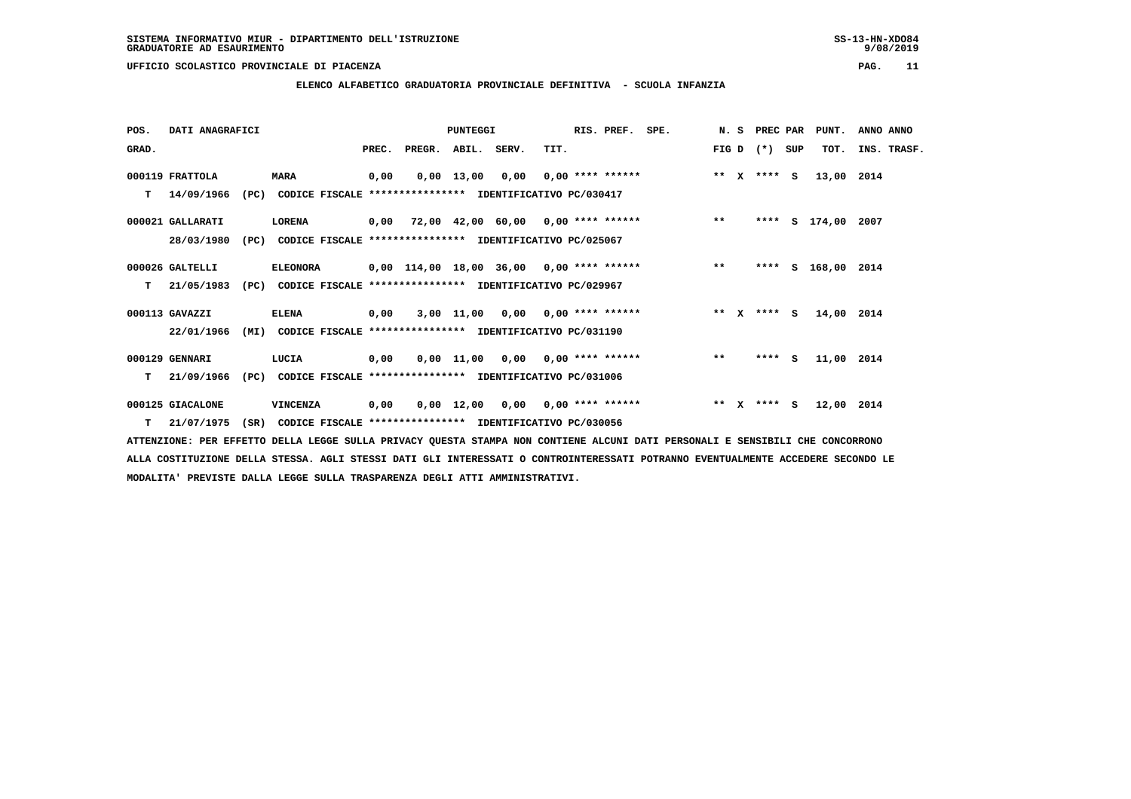**ELENCO ALFABETICO GRADUATORIA PROVINCIALE DEFINITIVA - SCUOLA INFANZIA**

| POS.  | DATI ANAGRAFICI  |      |                                                               |       |                                            | PUNTEGGI           |                                    |      | RIS. PREF.                | SPE. |         | N. S | PREC PAR    |     | PUNT.              | ANNO ANNO   |
|-------|------------------|------|---------------------------------------------------------------|-------|--------------------------------------------|--------------------|------------------------------------|------|---------------------------|------|---------|------|-------------|-----|--------------------|-------------|
| GRAD. |                  |      |                                                               | PREC. | PREGR.                                     | ABIL. SERV.        |                                    | TIT. |                           |      | FIG D   |      | $(*)$       | SUP | TOT.               | INS. TRASF. |
|       | 000119 FRATTOLA  |      | <b>MARA</b>                                                   | 0,00  |                                            | $0,00$ 13,00       | 0,00                               |      | $0.00$ **** ******        |      | ** X    |      | **** S      |     | 13,00 2014         |             |
| т     | 14/09/1966       |      | (PC) CODICE FISCALE **************** IDENTIFICATIVO PC/030417 |       |                                            |                    |                                    |      |                           |      |         |      |             |     |                    |             |
|       | 000021 GALLARATI |      | <b>LORENA</b>                                                 |       | 0,00 72,00 42,00 60,00 0,00 **** ******    |                    |                                    |      |                           |      | $***$   |      |             |     | **** S 174,00      | 2007        |
|       | 28/03/1980       | (PC) | CODICE FISCALE **************** IDENTIFICATIVO PC/025067      |       |                                            |                    |                                    |      |                           |      |         |      |             |     |                    |             |
|       | 000026 GALTELLI  |      | <b>ELEONORA</b>                                               |       | $0,00$ 114,00 18,00 36,00 0,00 **** ****** |                    |                                    |      |                           |      | $**$    |      |             |     | **** S 168,00 2014 |             |
| T.    | 21/05/1983       | (PC) | CODICE FISCALE **************** IDENTIFICATIVO PC/029967      |       |                                            |                    |                                    |      |                           |      |         |      |             |     |                    |             |
|       | 000113 GAVAZZI   |      | <b>ELENA</b>                                                  | 0,00  |                                            |                    | $3,00$ 11,00 0,00 0,00 **** ****** |      |                           |      |         |      | ** X **** S |     | 14,00              | 2014        |
|       | 22/01/1966       |      | (MI) CODICE FISCALE **************** IDENTIFICATIVO PC/031190 |       |                                            |                    |                                    |      |                           |      |         |      |             |     |                    |             |
|       | 000129 GENNARI   |      | LUCIA                                                         | 0,00  |                                            |                    | $0,00$ 11,00 0,00 0,00 **** ****** |      |                           |      | $* *$   |      | $***$ S     |     | 11,00 2014         |             |
| т     | 21/09/1966       | (PC) | CODICE FISCALE **************** IDENTIFICATIVO PC/031006      |       |                                            |                    |                                    |      |                           |      |         |      |             |     |                    |             |
|       | 000125 GIACALONE |      | VINCENZA                                                      | 0,00  |                                            | $0,00 \quad 12,00$ |                                    |      | $0,00$ $0,00$ **** ****** |      | $***$ X |      | **** S      |     | 12,00 2014         |             |
|       | $T = 21/07/1975$ | (SR) | CODICE FISCALE **************** IDENTIFICATIVO PC/030056      |       |                                            |                    |                                    |      |                           |      |         |      |             |     |                    |             |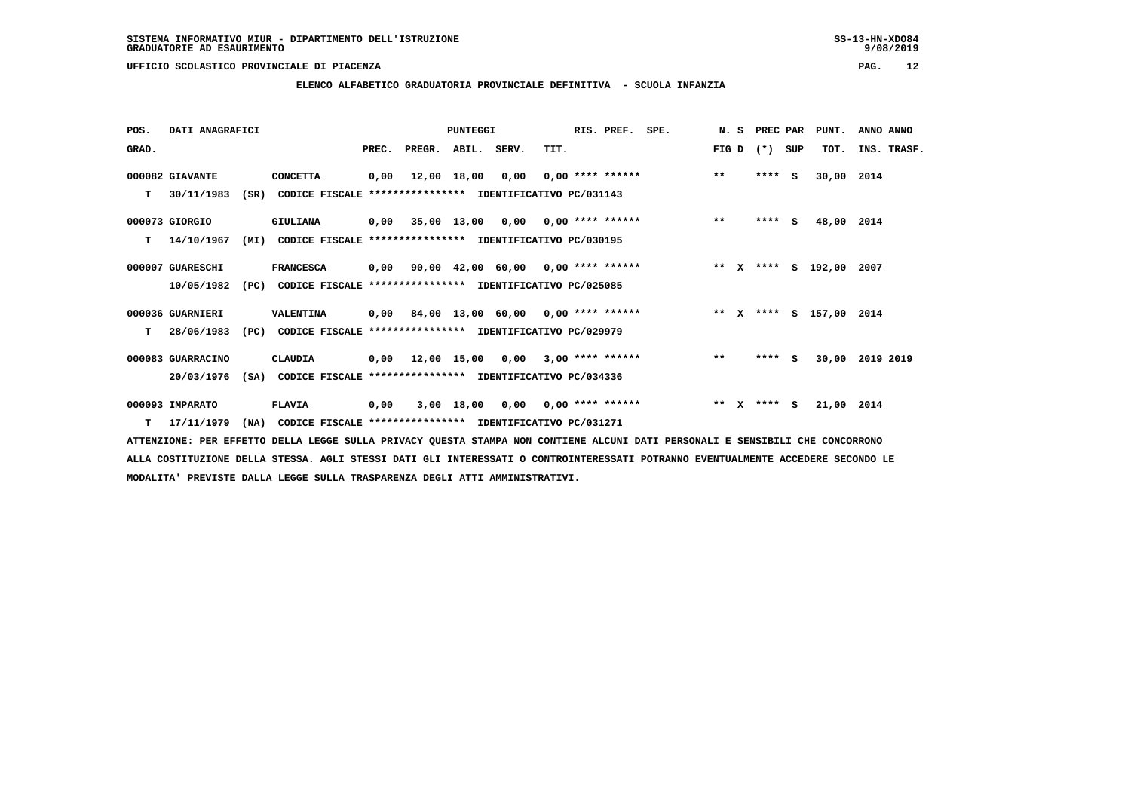**ELENCO ALFABETICO GRADUATORIA PROVINCIALE DEFINITIVA - SCUOLA INFANZIA**

| POS.  | DATI ANAGRAFICI   |      |                                                          |       |                  | PUNTEGGI    |                                          |      | RIS. PREF.         | SPE.                                    | N.S     | PREC PAR |     | PUNT.                   | ANNO ANNO       |
|-------|-------------------|------|----------------------------------------------------------|-------|------------------|-------------|------------------------------------------|------|--------------------|-----------------------------------------|---------|----------|-----|-------------------------|-----------------|
| GRAD. |                   |      |                                                          | PREC. | PREGR.           | ABIL. SERV. |                                          | TIT. |                    |                                         | FIG D   | $(*)$    | SUP | TOT.                    | INS. TRASF.     |
|       | 000082 GIAVANTE   |      | <b>CONCETTA</b>                                          | 0,00  |                  | 12,00 18,00 | 0,00                                     |      | $0,00$ **** ****** |                                         | $***$   | ****     | - S | 30,00                   | 2014            |
| т     | 30/11/1983        | (SR) | CODICE FISCALE **************** IDENTIFICATIVO PC/031143 |       |                  |             |                                          |      |                    |                                         |         |          |     |                         |                 |
|       | 000073 GIORGIO    |      | <b>GIULIANA</b>                                          |       |                  |             | $0,00$ 35,00 13,00 0,00 0,00 **** ****** |      |                    |                                         | $***$   | $***$ S  |     | 48,00 2014              |                 |
| т     | 14/10/1967        | (MI) | CODICE FISCALE **************** IDENTIFICATIVO PC/030195 |       |                  |             |                                          |      |                    |                                         |         |          |     |                         |                 |
|       | 000007 GUARESCHI  |      | <b>FRANCESCA</b>                                         | 0,00  |                  |             | 90,00 42,00 60,00 0,00 **** ******       |      |                    |                                         |         |          |     | ** X **** S 192,00 2007 |                 |
|       | 10/05/1982        | (PC) | CODICE FISCALE **************** IDENTIFICATIVO PC/025085 |       |                  |             |                                          |      |                    |                                         |         |          |     |                         |                 |
|       | 000036 GUARNIERI  |      | <b>VALENTINA</b>                                         |       |                  |             |                                          |      |                    | 0,00 84,00 13,00 60,00 0,00 **** ****** |         |          |     | ** X **** S 157,00 2014 |                 |
| т     | 28/06/1983        | (PC) | CODICE FISCALE **************** IDENTIFICATIVO PC/029979 |       |                  |             |                                          |      |                    |                                         |         |          |     |                         |                 |
|       | 000083 GUARRACINO |      | CLAUDIA                                                  |       | 0,00 12,00 15,00 |             | 0,00                                     |      | $3,00$ **** ****** |                                         | $* *$   | $***$ S  |     |                         | 30,00 2019 2019 |
|       | 20/03/1976        | (SA) | CODICE FISCALE **************** IDENTIFICATIVO PC/034336 |       |                  |             |                                          |      |                    |                                         |         |          |     |                         |                 |
|       | 000093 IMPARATO   |      | <b>FLAVIA</b>                                            | 0,00  |                  |             | $3,00$ 18,00 0,00 0,00 **** ******       |      |                    |                                         | $***$ X | **** S   |     | 21,00 2014              |                 |
| т     | 17/11/1979        | (NA) | CODICE FISCALE **************** IDENTIFICATIVO PC/031271 |       |                  |             |                                          |      |                    |                                         |         |          |     |                         |                 |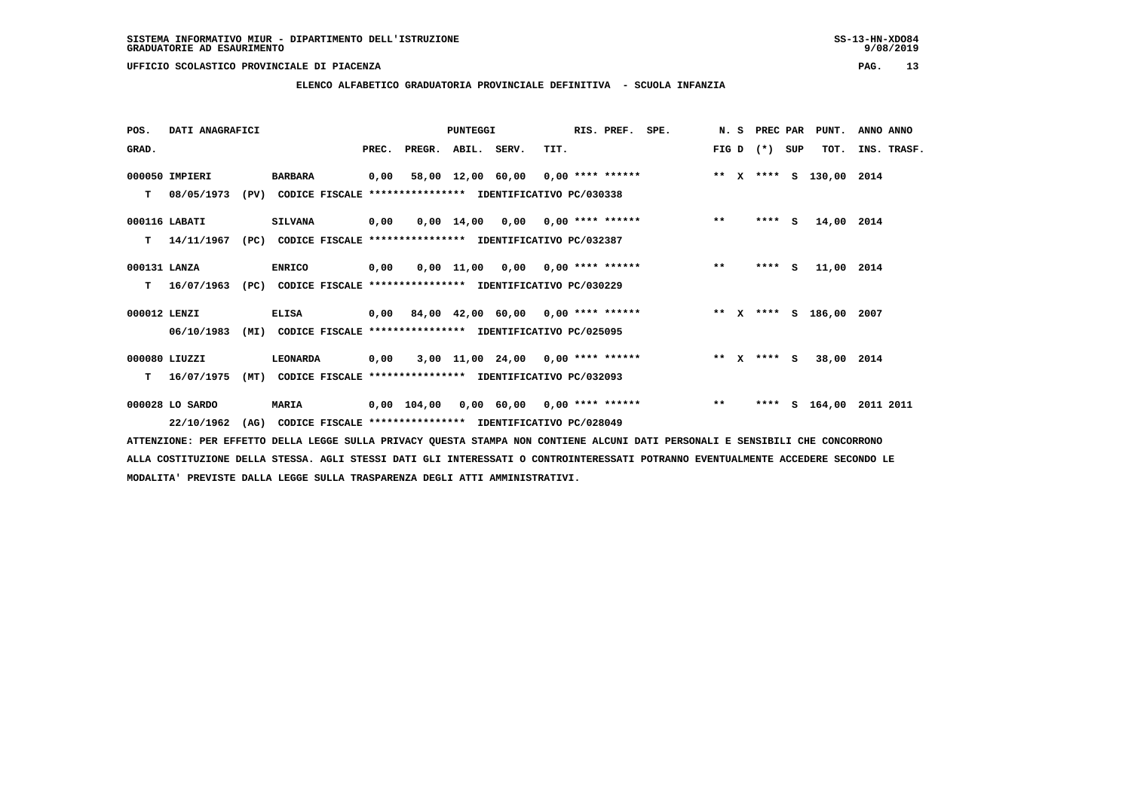**ELENCO ALFABETICO GRADUATORIA PROVINCIALE DEFINITIVA - SCUOLA INFANZIA**

| POS.         | DATI ANAGRAFICI |      |                                                               |      |                                         | <b>PUNTEGGI</b> |                                                              |      | RIS. PREF. SPE. |                                                                             |       | N. S PREC PAR |          | PUNT.      | ANNO ANNO |             |
|--------------|-----------------|------|---------------------------------------------------------------|------|-----------------------------------------|-----------------|--------------------------------------------------------------|------|-----------------|-----------------------------------------------------------------------------|-------|---------------|----------|------------|-----------|-------------|
| GRAD.        |                 |      |                                                               |      | PREC. PREGR. ABIL. SERV.                |                 |                                                              | TIT. |                 |                                                                             |       | $FIG D (*)$   | SUP      | TOT.       |           | INS. TRASF. |
|              | 000050 IMPIERI  |      | BARBARA                                                       |      | 0,00 58,00 12,00 60,00 0,00 **** ****** |                 |                                                              |      |                 | ** x **** s 130,00 2014                                                     |       |               |          |            |           |             |
| т            | 08/05/1973      |      | (PV) CODICE FISCALE **************** IDENTIFICATIVO PC/030338 |      |                                         |                 |                                                              |      |                 |                                                                             |       |               |          |            |           |             |
|              | 000116 LABATI   |      | <b>SILVANA</b>                                                | 0,00 |                                         |                 | $0.00 \quad 14.00 \quad 0.00 \quad 0.00 \quad *** \quad ***$ |      |                 |                                                                             | $***$ | $***$ S       |          | 14,00 2014 |           |             |
| т            | 14/11/1967      | (PC) | CODICE FISCALE **************** IDENTIFICATIVO PC/032387      |      |                                         |                 |                                                              |      |                 |                                                                             |       |               |          |            |           |             |
| 000131 LANZA |                 |      | <b>ENRICO</b>                                                 | 0,00 |                                         |                 | $0,00$ 11,00 0,00 0,00 **** ******                           |      |                 |                                                                             | $**$  | ****          | <b>S</b> | 11,00 2014 |           |             |
| т            | 16/07/1963      |      | (PC) CODICE FISCALE **************** IDENTIFICATIVO PC/030229 |      |                                         |                 |                                                              |      |                 |                                                                             |       |               |          |            |           |             |
| 000012 LENZI |                 |      | <b>ELISA</b>                                                  |      |                                         |                 |                                                              |      |                 | 0,00 84,00 42,00 60,00 0,00 **** ******             ** x **** s 186,00 2007 |       |               |          |            |           |             |
|              | 06/10/1983      | (MI) | CODICE FISCALE **************** IDENTIFICATIVO PC/025095      |      |                                         |                 |                                                              |      |                 |                                                                             |       |               |          |            |           |             |
|              | 000080 LIUZZI   |      | LEONARDA                                                      | 0,00 |                                         |                 | $3,00$ 11,00 24,00 0,00 **** ******                          |      |                 |                                                                             |       | ** x **** S   |          | 38,00 2014 |           |             |
| т            | 16/07/1975      | (MT) | CODICE FISCALE **************** IDENTIFICATIVO PC/032093      |      |                                         |                 |                                                              |      |                 |                                                                             |       |               |          |            |           |             |
|              | 000028 LO SARDO |      | <b>MARIA</b>                                                  |      |                                         |                 |                                                              |      |                 | 0,00 104,00 0,00 60,00 0,00 **** ******                                     | $***$ | ****          |          | S 164,00   | 2011 2011 |             |
|              | 22/10/1962      | (AG) | CODICE FISCALE **************** IDENTIFICATIVO PC/028049      |      |                                         |                 |                                                              |      |                 |                                                                             |       |               |          |            |           |             |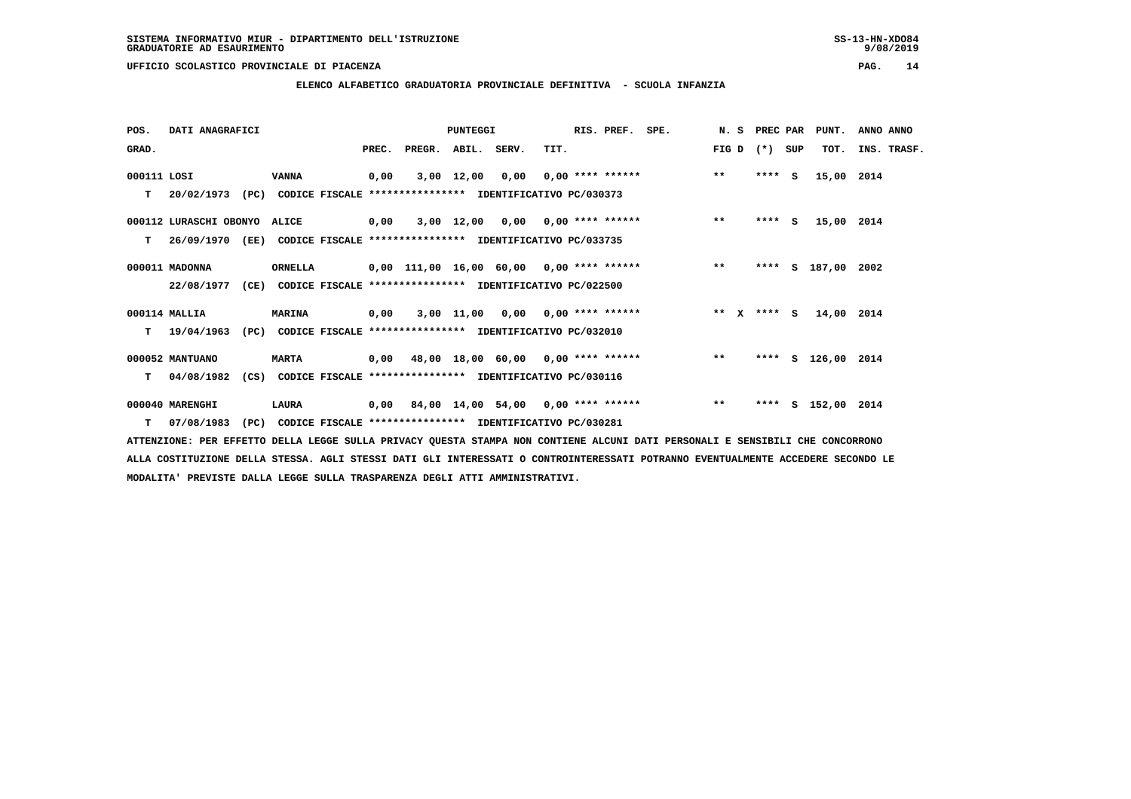**ELENCO ALFABETICO GRADUATORIA PROVINCIALE DEFINITIVA - SCUOLA INFANZIA**

| POS.        | DATI ANAGRAFICI                                                          |               |                                                          |      |                          | <b>PUNTEGGI</b> |      | RIS. PREF. SPE. |                                                     | N. S PREC PAR |         |     | PUNT.              | ANNO ANNO   |  |
|-------------|--------------------------------------------------------------------------|---------------|----------------------------------------------------------|------|--------------------------|-----------------|------|-----------------|-----------------------------------------------------|---------------|---------|-----|--------------------|-------------|--|
| GRAD.       |                                                                          |               |                                                          |      | PREC. PREGR. ABIL. SERV. |                 | TIT. |                 |                                                     | FIG D $(*)$   |         | SUP | TOT.               | INS. TRASF. |  |
| 000111 LOSI |                                                                          | VANNA         |                                                          | 0,00 |                          | 3,00 12,00      |      |                 | $0,00$ $0,00$ **** ****** *** **                    |               | $***$ S |     | 15,00 2014         |             |  |
| т           | 20/02/1973 (PC) CODICE FISCALE **************** IDENTIFICATIVO PC/030373 |               |                                                          |      |                          |                 |      |                 |                                                     |               |         |     |                    |             |  |
|             | 000112 LURASCHI OBONYO ALICE                                             |               |                                                          | 0,00 |                          |                 |      |                 | 3,00 12,00 0,00 0,00 **** ******                    | $***$         | $***$ S |     | 15,00 2014         |             |  |
| т           | 26/09/1970 (EE)                                                          |               | CODICE FISCALE **************** IDENTIFICATIVO PC/033735 |      |                          |                 |      |                 |                                                     |               |         |     |                    |             |  |
|             | 000011 MADONNA                                                           | ORNELLA       |                                                          |      |                          |                 |      |                 | 0,00 111,00 16,00 60,00 0,00 **** ****** *** ***    |               |         |     | **** S 187,00 2002 |             |  |
|             | 22/08/1977 (CE) CODICE FISCALE *************** IDENTIFICATIVO PC/022500  |               |                                                          |      |                          |                 |      |                 |                                                     |               |         |     |                    |             |  |
|             | 000114 MALLIA                                                            | <b>MARINA</b> |                                                          | 0,00 |                          |                 |      |                 | 3,00 11,00 0,00 0,00 **** ****** *** ** ** x **** S |               |         |     | 14,00 2014         |             |  |
| т           | 19/04/1963                                                               | (PC)          | CODICE FISCALE **************** IDENTIFICATIVO PC/032010 |      |                          |                 |      |                 |                                                     |               |         |     |                    |             |  |
|             | 000052 MANTUANO                                                          | <b>MARTA</b>  |                                                          |      |                          |                 |      |                 | 0,00 48,00 18,00 60,00 0,00 **** ****** *** **      |               |         |     | **** S 126,00 2014 |             |  |
| т           | 04/08/1982 (CS) CODICE FISCALE **************** IDENTIFICATIVO PC/030116 |               |                                                          |      |                          |                 |      |                 |                                                     |               |         |     |                    |             |  |
|             | 000040 MARENGHI                                                          | LAURA         |                                                          |      |                          |                 |      |                 | 0,00 84,00 14,00 54,00 0,00 **** ******             | $***$         | ****    |     | S 152,00 2014      |             |  |
| т           | 07/08/1983                                                               | (PC)          | CODICE FISCALE **************** IDENTIFICATIVO PC/030281 |      |                          |                 |      |                 |                                                     |               |         |     |                    |             |  |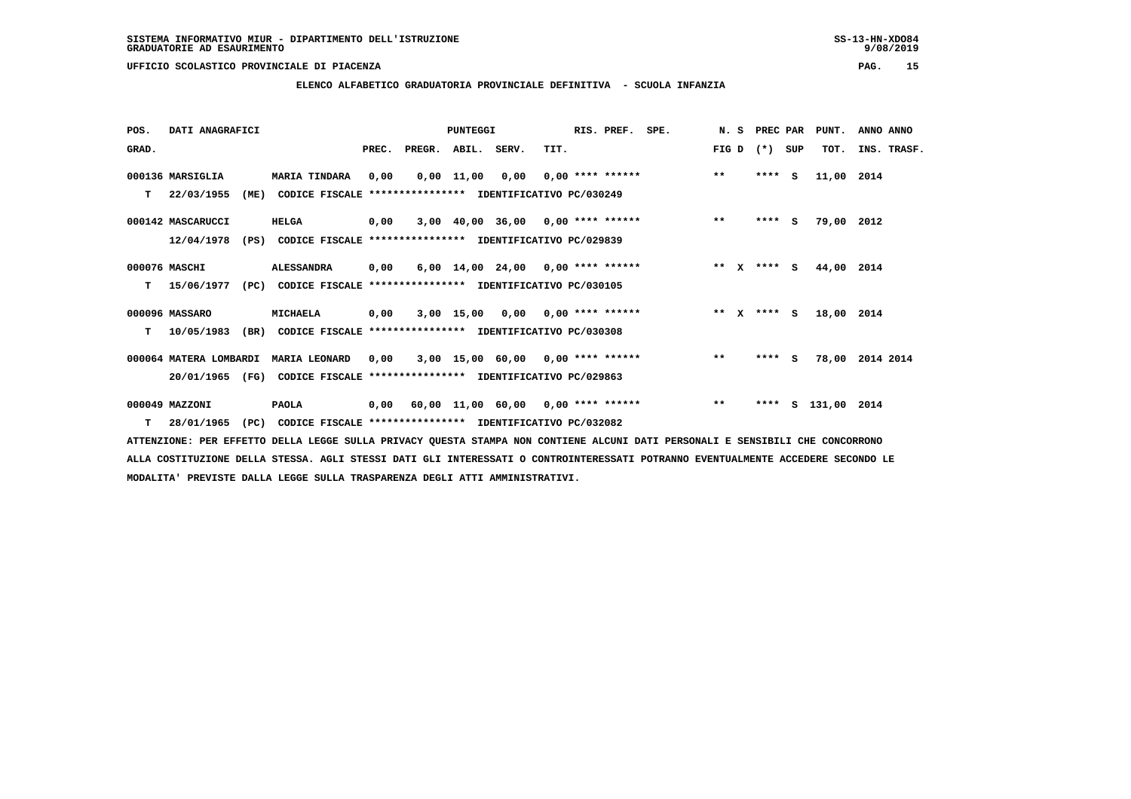# **ELENCO ALFABETICO GRADUATORIA PROVINCIALE DEFINITIVA - SCUOLA INFANZIA**

| POS.  |                        | DATI ANAGRAFICI |                                                          |       |                    | <b>PUNTEGGI</b> |                                           |      | RIS. PREF.         | SPE. | N.S     | PREC PAR    |     | PUNT.       | ANNO ANNO       |
|-------|------------------------|-----------------|----------------------------------------------------------|-------|--------------------|-----------------|-------------------------------------------|------|--------------------|------|---------|-------------|-----|-------------|-----------------|
| GRAD. |                        |                 |                                                          | PREC. | PREGR. ABIL. SERV. |                 |                                           | TIT. |                    |      | FIG D   | $(*)$       | SUP | TOT.        | INS. TRASF.     |
|       | 000136 MARSIGLIA       |                 | <b>MARIA TINDARA</b>                                     | 0,00  |                    | 0,00 11,00      | 0,00                                      |      | $0.00$ **** ****** |      | $***$   | $***$ S     |     | 11,00 2014  |                 |
| т     | 22/03/1955             | (ME)            | CODICE FISCALE **************** IDENTIFICATIVO PC/030249 |       |                    |                 |                                           |      |                    |      |         |             |     |             |                 |
|       | 000142 MASCARUCCI      |                 | <b>HELGA</b>                                             | 0,00  |                    |                 | $3,00$ 40,00 36,00 0,00 **** ******       |      |                    |      | $***$   | $***5$      |     | 79,00 2012  |                 |
|       | 12/04/1978             | (PS)            | CODICE FISCALE **************** IDENTIFICATIVO PC/029839 |       |                    |                 |                                           |      |                    |      |         |             |     |             |                 |
|       | 000076 MASCHI          |                 | <b>ALESSANDRA</b>                                        | 0,00  |                    |                 | $6,00$ 14,00 24,00 0,00 **** ******       |      |                    |      | $***$ X | $***$ S     |     | 44,00 2014  |                 |
| т     | 15/06/1977             | (PC)            | CODICE FISCALE **************** IDENTIFICATIVO PC/030105 |       |                    |                 |                                           |      |                    |      |         |             |     |             |                 |
|       | 000096 MASSARO         |                 | MICHAELA                                                 | 0,00  |                    |                 | $3,00$ 15,00 0,00 0,00 **** ******        |      |                    |      |         | ** x **** s |     | 18,00 2014  |                 |
| т     | 10/05/1983             | (BR)            | CODICE FISCALE                                           |       |                    |                 | **************** IDENTIFICATIVO PC/030308 |      |                    |      |         |             |     |             |                 |
|       | 000064 MATERA LOMBARDI |                 | <b>MARIA LEONARD</b>                                     | 0,00  |                    |                 | $3,00$ 15,00 60,00 0,00 **** ******       |      |                    |      | $***$   | $***$ S     |     |             | 78,00 2014 2014 |
|       | 20/01/1965             | (FG)            | CODICE FISCALE **************** IDENTIFICATIVO PC/029863 |       |                    |                 |                                           |      |                    |      |         |             |     |             |                 |
|       | 000049 MAZZONI         |                 | <b>PAOLA</b>                                             | 0,00  |                    |                 | 60,00 11,00 60,00 0,00 **** ******        |      |                    |      | $***$   | ****        | s   | 131,00 2014 |                 |
| т     | 28/01/1965             | (PC)            | CODICE FISCALE **************** IDENTIFICATIVO PC/032082 |       |                    |                 |                                           |      |                    |      |         |             |     |             |                 |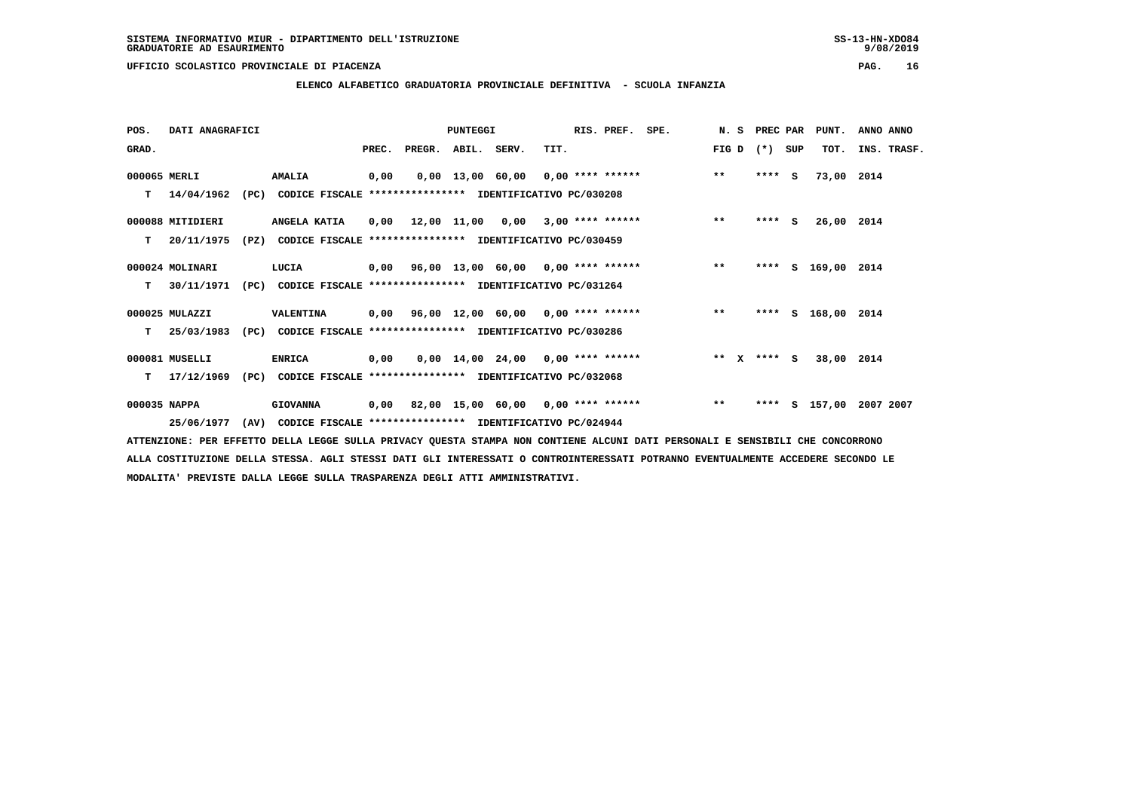**ELENCO ALFABETICO GRADUATORIA PROVINCIALE DEFINITIVA - SCUOLA INFANZIA**

| POS.         | DATI ANAGRAFICI  |      |                                                               |      |                          | <b>PUNTEGGI</b> |                                          |      | RIS. PREF. SPE. |                                                 | N. S PREC PAR |         |     | PUNT.              | ANNO ANNO   |
|--------------|------------------|------|---------------------------------------------------------------|------|--------------------------|-----------------|------------------------------------------|------|-----------------|-------------------------------------------------|---------------|---------|-----|--------------------|-------------|
| GRAD.        |                  |      |                                                               |      | PREC. PREGR. ABIL. SERV. |                 |                                          | TIT. |                 |                                                 | FIG D $(*)$   |         | SUP | TOT.               | INS. TRASF. |
| 000065 MERLI |                  |      | <b>AMALIA</b>                                                 | 0,00 |                          |                 |                                          |      |                 | 0,00 13,00 60,00 0,00 **** ******               | $***$         | $***$ S |     | 73,00 2014         |             |
| т            | 14/04/1962       |      | (PC) CODICE FISCALE **************** IDENTIFICATIVO PC/030208 |      |                          |                 |                                          |      |                 |                                                 |               |         |     |                    |             |
|              | 000088 MITIDIERI |      | ANGELA KATIA                                                  |      |                          |                 | $0,00$ 12,00 11,00 0,00 3,00 **** ****** |      |                 |                                                 | $***$         | $***$ S |     | 26,00 2014         |             |
| т            | 20/11/1975       | (PZ) | CODICE FISCALE **************** IDENTIFICATIVO PC/030459      |      |                          |                 |                                          |      |                 |                                                 |               |         |     |                    |             |
|              | 000024 MOLINARI  |      | LUCIA                                                         |      |                          |                 |                                          |      |                 | 0,00 96,00 13,00 60,00 0,00 **** ****** *** *** |               | ****    |     | S 169,00 2014      |             |
| т            | 30/11/1971       |      | (PC) CODICE FISCALE **************** IDENTIFICATIVO PC/031264 |      |                          |                 |                                          |      |                 |                                                 |               |         |     |                    |             |
|              | 000025 MULAZZI   |      | <b>VALENTINA</b>                                              |      |                          |                 |                                          |      |                 | 0,00 96,00 12,00 60,00 0,00 **** ******         | $***$         |         |     | **** S 168,00 2014 |             |
| т            | 25/03/1983       | (PC) | CODICE FISCALE **************** IDENTIFICATIVO PC/030286      |      |                          |                 |                                          |      |                 |                                                 |               |         |     |                    |             |
|              | 000081 MUSELLI   |      | <b>ENRICA</b>                                                 | 0,00 |                          |                 | $0,00$ 14,00 24,00 0,00 **** ******      |      |                 |                                                 | ** x **** s   |         |     | 38,00 2014         |             |
| т            | 17/12/1969       |      | (PC) CODICE FISCALE **************** IDENTIFICATIVO PC/032068 |      |                          |                 |                                          |      |                 |                                                 |               |         |     |                    |             |
| 000035 NAPPA |                  |      | <b>GIOVANNA</b>                                               |      |                          |                 |                                          |      |                 | 0,00 82,00 15,00 60,00 0,00 **** ******         | $***$         | ****    |     | S 157,00           | 2007 2007   |
|              | 25/06/1977       | (AV) | CODICE FISCALE **************** IDENTIFICATIVO PC/024944      |      |                          |                 |                                          |      |                 |                                                 |               |         |     |                    |             |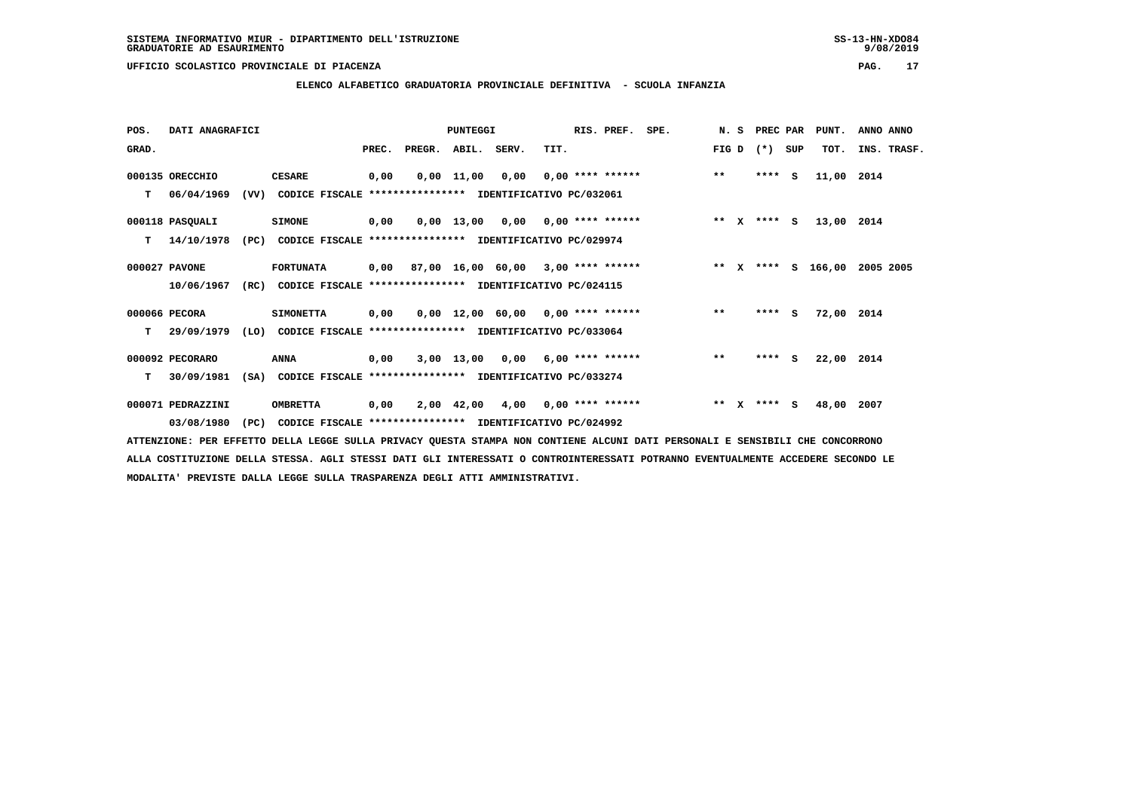**ELENCO ALFABETICO GRADUATORIA PROVINCIALE DEFINITIVA - SCUOLA INFANZIA**

| POS.  | DATI ANAGRAFICI   |      |                                                               |       |        | PUNTEGGI     |                                           |      | RIS. PREF.         | SPE. | N.S   |              | PREC PAR    |     | PUNT.              | ANNO ANNO |             |
|-------|-------------------|------|---------------------------------------------------------------|-------|--------|--------------|-------------------------------------------|------|--------------------|------|-------|--------------|-------------|-----|--------------------|-----------|-------------|
| GRAD. |                   |      |                                                               | PREC. | PREGR. | ABIL. SERV.  |                                           | TIT. |                    |      | FIG D |              | $(* )$      | SUP | TOT.               |           | INS. TRASF. |
|       | 000135 ORECCHIO   |      | <b>CESARE</b>                                                 | 0,00  |        | $0,00$ 11,00 | 0,00                                      |      | $0,00$ **** ****** |      | $***$ |              | ****        | S.  | 11,00 2014         |           |             |
| т     | 06/04/1969        | (VV) | CODICE FISCALE **************** IDENTIFICATIVO PC/032061      |       |        |              |                                           |      |                    |      |       |              |             |     |                    |           |             |
|       | 000118 PASQUALI   |      | <b>SIMONE</b>                                                 | 0,00  |        |              | $0,00$ 13,00 0,00 0,00 **** ******        |      |                    |      |       |              | ** x **** S |     | 13,00 2014         |           |             |
| т     | 14/10/1978        | (PC) | CODICE FISCALE **************** IDENTIFICATIVO PC/029974      |       |        |              |                                           |      |                    |      |       |              |             |     |                    |           |             |
|       | 000027 PAVONE     |      | <b>FORTUNATA</b>                                              |       |        |              | $0,00$ 87,00 16,00 60,00 3,00 **** ****** |      |                    |      |       |              |             |     | ** x **** s 166,00 | 2005 2005 |             |
|       | 10/06/1967        | (RC) | CODICE FISCALE **************** IDENTIFICATIVO PC/024115      |       |        |              |                                           |      |                    |      |       |              |             |     |                    |           |             |
|       | 000066 PECORA     |      | <b>SIMONETTA</b>                                              | 0,00  |        |              | $0.00$ 12.00 60.00 0.00 **** ******       |      |                    |      | $***$ |              | $***$ S     |     | 72,00              | 2014      |             |
| т     | 29/09/1979        |      | (LO) CODICE FISCALE **************** IDENTIFICATIVO PC/033064 |       |        |              |                                           |      |                    |      |       |              |             |     |                    |           |             |
|       | 000092 PECORARO   |      | ANNA                                                          | 0,00  |        |              | $3,00$ 13,00 0,00 6,00 **** ******        |      |                    |      | $**$  |              | $***$ S     |     | 22,00 2014         |           |             |
| т     | 30/09/1981        | (SA) | CODICE FISCALE **************** IDENTIFICATIVO PC/033274      |       |        |              |                                           |      |                    |      |       |              |             |     |                    |           |             |
|       | 000071 PEDRAZZINI |      | <b>OMBRETTA</b>                                               | 0,00  |        | 2,00 42,00   | 4,00 0,00 **** ******                     |      |                    |      | $* *$ | $\mathbf{x}$ | $***$ S     |     | 48,00              | 2007      |             |
|       | 03/08/1980        | (PC) | CODICE FISCALE **************** IDENTIFICATIVO PC/024992      |       |        |              |                                           |      |                    |      |       |              |             |     |                    |           |             |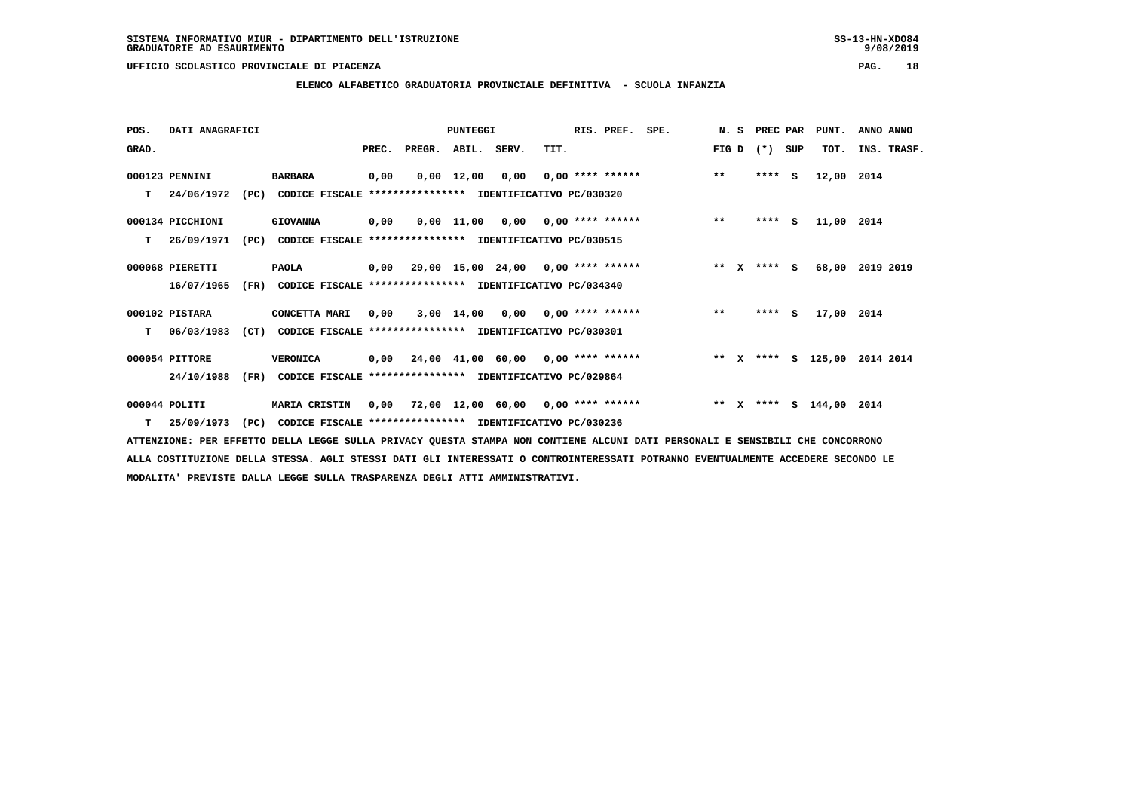**ELENCO ALFABETICO GRADUATORIA PROVINCIALE DEFINITIVA - SCUOLA INFANZIA**

| POS.  | DATI ANAGRAFICI  |      |                                                               |       |        | PUNTEGGI    |                                         |      | RIS. PREF. SPE. |                                                                        |       | N. S PREC PAR |     | PUNT.      | ANNO ANNO       |
|-------|------------------|------|---------------------------------------------------------------|-------|--------|-------------|-----------------------------------------|------|-----------------|------------------------------------------------------------------------|-------|---------------|-----|------------|-----------------|
| GRAD. |                  |      |                                                               | PREC. | PREGR. | ABIL. SERV. |                                         | TIT. |                 |                                                                        | FIG D | $(*)$         | SUP | TOT.       | INS. TRASF.     |
|       | 000123 PENNINI   |      | <b>BARBARA</b>                                                | 0,00  |        |             |                                         |      |                 | $0,00$ 12,00 0,00 0,00 **** ****** *** **                              |       | $***$ S       |     | 12,00 2014 |                 |
| т     | 24/06/1972       |      | (PC) CODICE FISCALE **************** IDENTIFICATIVO PC/030320 |       |        |             |                                         |      |                 |                                                                        |       |               |     |            |                 |
|       | 000134 PICCHIONI |      | <b>GIOVANNA</b>                                               | 0,00  |        |             | $0,00$ 11,00 0,00 0,00 **** ******      |      |                 | $\star \star$                                                          |       | $***$ S       |     | 11,00 2014 |                 |
| т     | 26/09/1971       | (PC) | CODICE FISCALE **************** IDENTIFICATIVO PC/030515      |       |        |             |                                         |      |                 |                                                                        |       |               |     |            |                 |
|       | 000068 PIERETTI  |      | <b>PAOLA</b>                                                  |       |        |             |                                         |      |                 |                                                                        |       | $***$ S       |     |            | 68,00 2019 2019 |
|       | 16/07/1965       |      | (FR) CODICE FISCALE **************** IDENTIFICATIVO PC/034340 |       |        |             |                                         |      |                 |                                                                        |       |               |     |            |                 |
|       | 000102 PISTARA   |      | CONCETTA MARI                                                 | 0,00  |        |             |                                         |      |                 | 3,00 14,00 0,00 0,00 **** ******                                       | $* *$ | **** $S$      |     | 17,00 2014 |                 |
| T.    | 06/03/1983       | (CT) | CODICE FISCALE **************** IDENTIFICATIVO PC/030301      |       |        |             |                                         |      |                 |                                                                        |       |               |     |            |                 |
|       | 000054 PITTORE   |      | <b>VERONICA</b>                                               |       |        |             | 0,00 24,00 41,00 60,00 0,00 **** ****** |      |                 | ** X **** S 125,00 2014 2014                                           |       |               |     |            |                 |
|       | 24/10/1988       |      | (FR) CODICE FISCALE **************** IDENTIFICATIVO PC/029864 |       |        |             |                                         |      |                 |                                                                        |       |               |     |            |                 |
|       | $000044$ POLITI  |      | <b>MARIA CRISTIN</b>                                          |       |        |             |                                         |      |                 | 0,00 72,00 12,00 60,00 0,00 **** ****** **** *** ** **** S 144,00 2014 |       |               |     |            |                 |
| т     | 25/09/1973       | (PC) | CODICE FISCALE **************** IDENTIFICATIVO PC/030236      |       |        |             |                                         |      |                 |                                                                        |       |               |     |            |                 |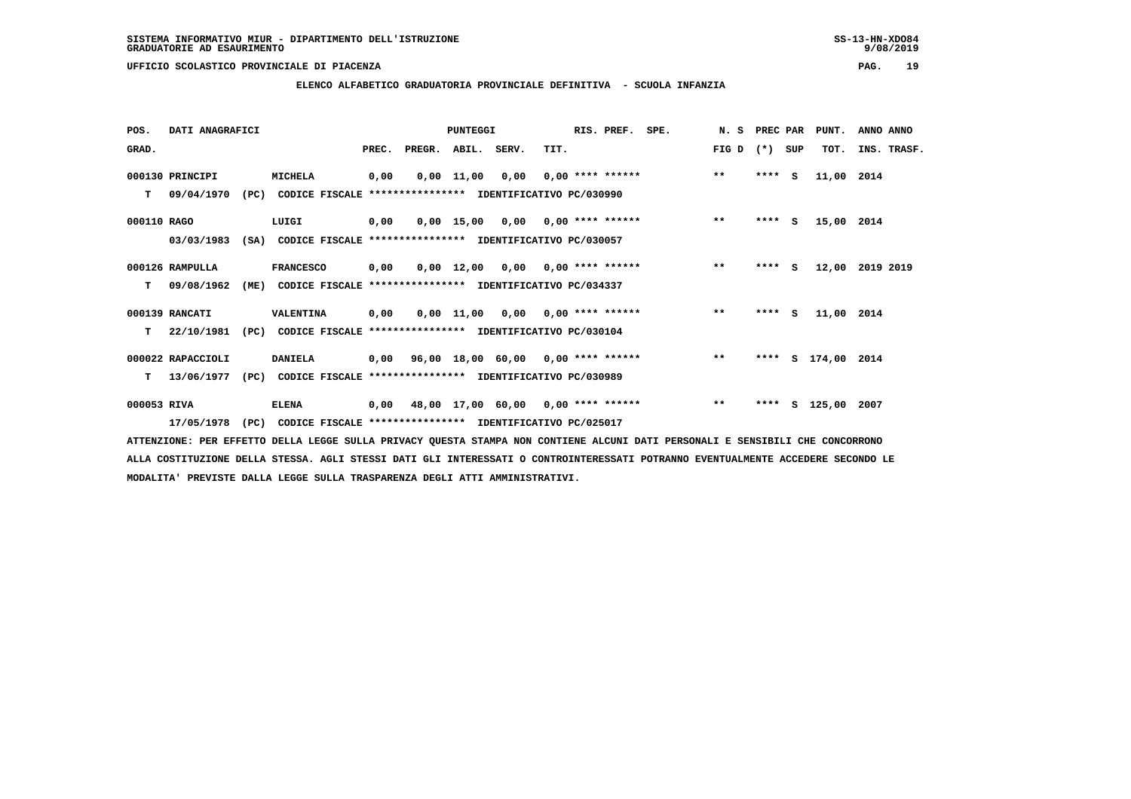**ELENCO ALFABETICO GRADUATORIA PROVINCIALE DEFINITIVA - SCUOLA INFANZIA**

| POS.        | DATI ANAGRAFICI   |      |                                                               |       |        | <b>PUNTEGGI</b> |                                           |      | RIS. PREF.                | SPE. | N. S  | PREC PAR |          | PUNT.         | ANNO ANNO   |
|-------------|-------------------|------|---------------------------------------------------------------|-------|--------|-----------------|-------------------------------------------|------|---------------------------|------|-------|----------|----------|---------------|-------------|
| GRAD.       |                   |      |                                                               | PREC. | PREGR. | ABIL. SERV.     |                                           | TIT. |                           |      | FIG D | $(*)$    | SUP      | TOT.          | INS. TRASF. |
|             | 000130 PRINCIPI   |      | <b>MICHELA</b>                                                | 0,00  |        | $0,00$ 11,00    | 0,00                                      |      | $0,00$ **** ******        |      | $***$ | ****     | <b>S</b> | 11,00 2014    |             |
| т           | 09/04/1970        |      | (PC) CODICE FISCALE **************** IDENTIFICATIVO PC/030990 |       |        |                 |                                           |      |                           |      |       |          |          |               |             |
| 000110 RAGO |                   |      | LUIGI                                                         | 0,00  |        |                 | $0.00$ 15.00 0.00 0.00 **** ******        |      |                           |      | $**$  | $***$ S  |          | 15,00 2014    |             |
|             | 03/03/1983        | (SA) | CODICE FISCALE **************** IDENTIFICATIVO PC/030057      |       |        |                 |                                           |      |                           |      |       |          |          |               |             |
|             | 000126 RAMPULLA   |      | <b>FRANCESCO</b>                                              | 0,00  |        | 0,00 12,00      |                                           |      | $0,00$ $0,00$ **** ****** |      | $**$  | ****     | <b>S</b> | 12,00         | 2019 2019   |
| т           | 09/08/1962        | (ME) | CODICE FISCALE **************** IDENTIFICATIVO PC/034337      |       |        |                 |                                           |      |                           |      |       |          |          |               |             |
|             | 000139 RANCATI    |      | VALENTINA                                                     | 0,00  |        |                 | $0,00$ 11,00 0,00 0,00 **** ******        |      |                           |      | $***$ | $***5$   |          | 11,00 2014    |             |
| т           | 22/10/1981        | (PC) | CODICE FISCALE **************** IDENTIFICATIVO PC/030104      |       |        |                 |                                           |      |                           |      |       |          |          |               |             |
|             | 000022 RAPACCIOLI |      | DANIELA                                                       |       |        |                 | $0,00$ 96,00 18,00 60,00 0,00 **** ****** |      |                           |      | $**$  | ****     |          | S 174,00 2014 |             |
| т           | 13/06/1977        | (PC) | CODICE FISCALE **************** IDENTIFICATIVO PC/030989      |       |        |                 |                                           |      |                           |      |       |          |          |               |             |
| 000053 RIVA |                   |      | <b>ELENA</b>                                                  | 0,00  |        |                 | 48,00 17,00 60,00 0,00 **** ******        |      |                           |      | $***$ | ****     |          | S 125,00 2007 |             |
|             | 17/05/1978        | (PC) | CODICE FISCALE **************** IDENTIFICATIVO PC/025017      |       |        |                 |                                           |      |                           |      |       |          |          |               |             |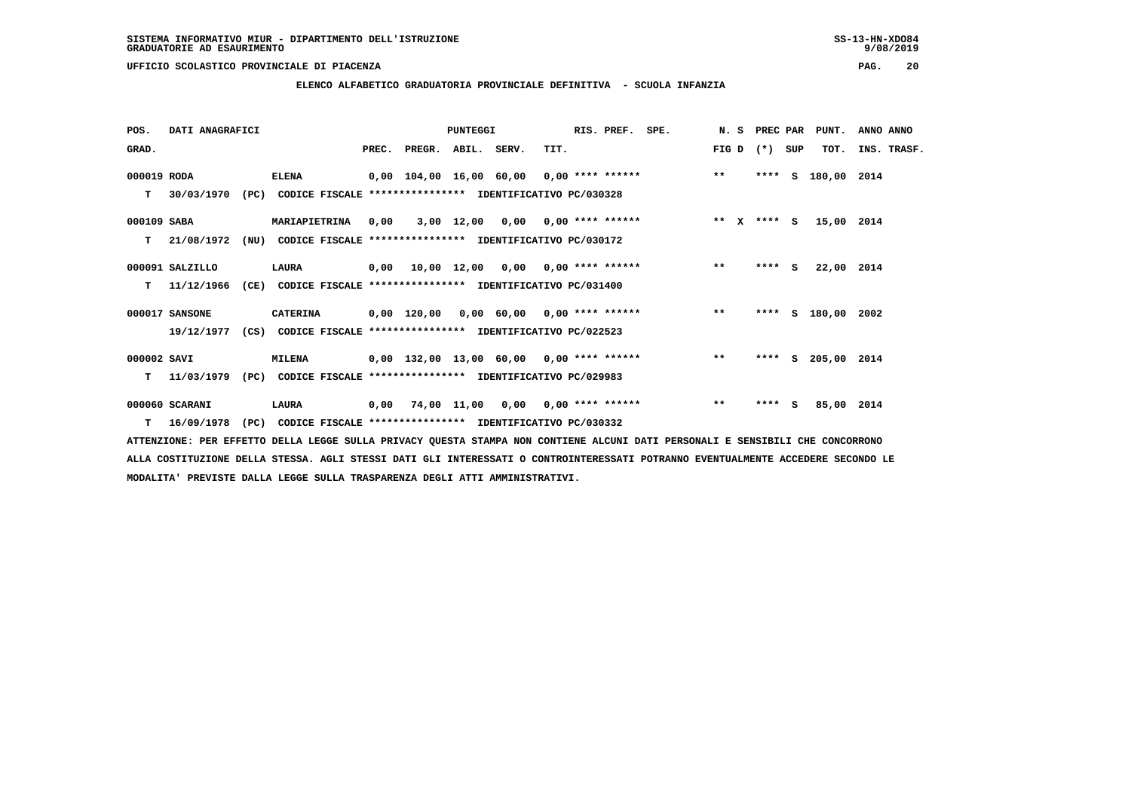**ELENCO ALFABETICO GRADUATORIA PROVINCIALE DEFINITIVA - SCUOLA INFANZIA**

| POS.        | DATI ANAGRAFICI |      |                                                                         |      |                          | PUNTEGGI |      | RIS. PREF. SPE.                          |                                                |              |         |     | N. S PREC PAR PUNT. | ANNO ANNO   |  |
|-------------|-----------------|------|-------------------------------------------------------------------------|------|--------------------------|----------|------|------------------------------------------|------------------------------------------------|--------------|---------|-----|---------------------|-------------|--|
| GRAD.       |                 |      |                                                                         |      | PREC. PREGR. ABIL. SERV. |          | TIT. |                                          |                                                | FIG D        | $(* )$  | SUP | TOT.                | INS. TRASF. |  |
| 000019 RODA |                 |      | <b>ELENA</b>                                                            |      |                          |          |      |                                          | 0,00 104,00 16,00 60,00 0,00 **** ******       | $***$        |         |     | **** S 180,00 2014  |             |  |
| т           | 30/03/1970      | (PC) | CODICE FISCALE **************** IDENTIFICATIVO PC/030328                |      |                          |          |      |                                          |                                                |              |         |     |                     |             |  |
| 000109 SABA |                 |      | <b>MARIAPIETRINA</b>                                                    | 0.00 |                          |          |      | $3,00$ 12,00 0,00 0,00 **** ******       | ** x **** s 15,00 2014                         |              |         |     |                     |             |  |
| T.          | 21/08/1972      |      | (NU) CODICE FISCALE **************** IDENTIFICATIVO PC/030172           |      |                          |          |      |                                          |                                                |              |         |     |                     |             |  |
|             | 000091 SALZILLO |      | <b>LAURA</b>                                                            |      |                          |          |      | $0,00$ 10,00 12,00 0,00 0,00 **** ****** |                                                | $***$        | $***$ S |     | 22,00 2014          |             |  |
| т           | 11/12/1966      |      | (CE) CODICE FISCALE **************** IDENTIFICATIVO PC/031400           |      |                          |          |      |                                          |                                                |              |         |     |                     |             |  |
|             | 000017 SANSONE  |      | <b>CATERINA</b>                                                         |      |                          |          |      |                                          | 0,00 120,00 0,00 60,00 0,00 **** ****** *** ** |              |         |     | **** S 180,00 2002  |             |  |
|             |                 |      | 19/12/1977 (CS) CODICE FISCALE *************** IDENTIFICATIVO PC/022523 |      |                          |          |      |                                          |                                                |              |         |     |                     |             |  |
| 000002 SAVI |                 |      | <b>MILENA</b>                                                           |      |                          |          |      |                                          | 0,00 132,00 13,00 60,00 0,00 **** ******       | $\star\star$ |         |     | **** S 205,00 2014  |             |  |
| т           | 11/03/1979      | (PC) | CODICE FISCALE **************** IDENTIFICATIVO PC/029983                |      |                          |          |      |                                          |                                                |              |         |     |                     |             |  |
|             | 000060 SCARANI  |      | LAURA                                                                   |      |                          |          |      | 0,00 74,00 11,00 0,00 0,00 **** ******   |                                                | $**$         | ****    | - S | 85,00 2014          |             |  |
|             | T 16/09/1978    | (PC) | CODICE FISCALE **************** IDENTIFICATIVO PC/030332                |      |                          |          |      |                                          |                                                |              |         |     |                     |             |  |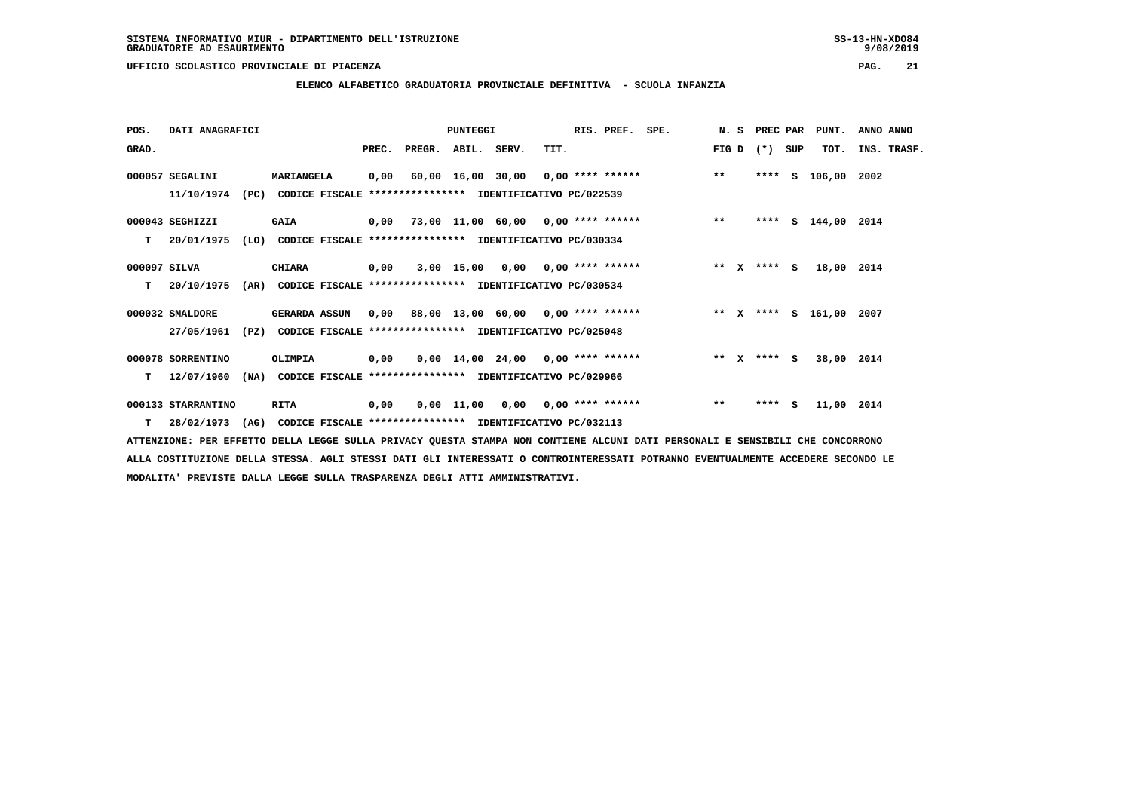**ELENCO ALFABETICO GRADUATORIA PROVINCIALE DEFINITIVA - SCUOLA INFANZIA**

| POS.         | DATI ANAGRAFICI    |      |                                                                         |       |                                           | PUNTEGGI |                                     |      | RIS. PREF. | SPE.                                       |             | N. S PREC PAR |     | PUNT.              | ANNO ANNO   |
|--------------|--------------------|------|-------------------------------------------------------------------------|-------|-------------------------------------------|----------|-------------------------------------|------|------------|--------------------------------------------|-------------|---------------|-----|--------------------|-------------|
| GRAD.        |                    |      |                                                                         | PREC. | PREGR. ABIL. SERV.                        |          |                                     | TIT. |            |                                            | FIG D $(*)$ |               | SUP | TOT.               | INS. TRASF. |
|              | 000057 SEGALINI    |      | <b>MARIANGELA</b>                                                       | 0,00  |                                           |          |                                     |      |            | 60,00 16,00 30,00 0,00 **** ****** *** *** |             | ****          | S   | 106,00 2002        |             |
|              | 11/10/1974         |      | (PC) CODICE FISCALE **************** IDENTIFICATIVO PC/022539           |       |                                           |          |                                     |      |            |                                            |             |               |     |                    |             |
|              | 000043 SEGHIZZI    |      | GAIA                                                                    |       |                                           |          |                                     |      |            | 0,00 73,00 11,00 60,00 0,00 **** ******    | $***$       |               |     | **** S 144,00 2014 |             |
| т            | 20/01/1975         | (LO) | CODICE FISCALE **************** IDENTIFICATIVO PC/030334                |       |                                           |          |                                     |      |            |                                            |             |               |     |                    |             |
| 000097 SILVA |                    |      | CHIARA                                                                  | 0,00  |                                           |          | $3,00$ 15,00 0,00 0,00 **** ******  |      |            | ** x **** S                                |             |               |     | 18,00 2014         |             |
| т            | 20/10/1975         | (AR) | CODICE FISCALE **************** IDENTIFICATIVO PC/030534                |       |                                           |          |                                     |      |            |                                            |             |               |     |                    |             |
|              | 000032 SMALDORE    |      | <b>GERARDA ASSUN</b>                                                    |       | $0.00$ 88.00 13.00 60.00 0.00 **** ****** |          |                                     |      |            | ** X **** S 161,00                         |             |               |     |                    | 2007        |
|              | 27/05/1961         |      | (PZ) CODICE FISCALE **************** IDENTIFICATIVO PC/025048           |       |                                           |          |                                     |      |            |                                            |             |               |     |                    |             |
|              | 000078 SORRENTINO  |      | OLIMPIA                                                                 | 0,00  |                                           |          | $0,00$ 14,00 24,00 0,00 **** ****** |      |            |                                            |             | ** x **** S   |     | 38,00 2014         |             |
| т            | 12/07/1960         | (NA) | CODICE FISCALE **************** IDENTIFICATIVO PC/029966                |       |                                           |          |                                     |      |            |                                            |             |               |     |                    |             |
|              | 000133 STARRANTINO |      | RITA                                                                    | 0,00  |                                           |          | $0,00$ 11,00 0,00 0,00 **** ******  |      |            |                                            | $***$       | $***$ S       |     | 11,00 2014         |             |
|              |                    |      | 28/02/1973 (AG) CODICE FISCALE *************** IDENTIFICATIVO PC/032113 |       |                                           |          |                                     |      |            |                                            |             |               |     |                    |             |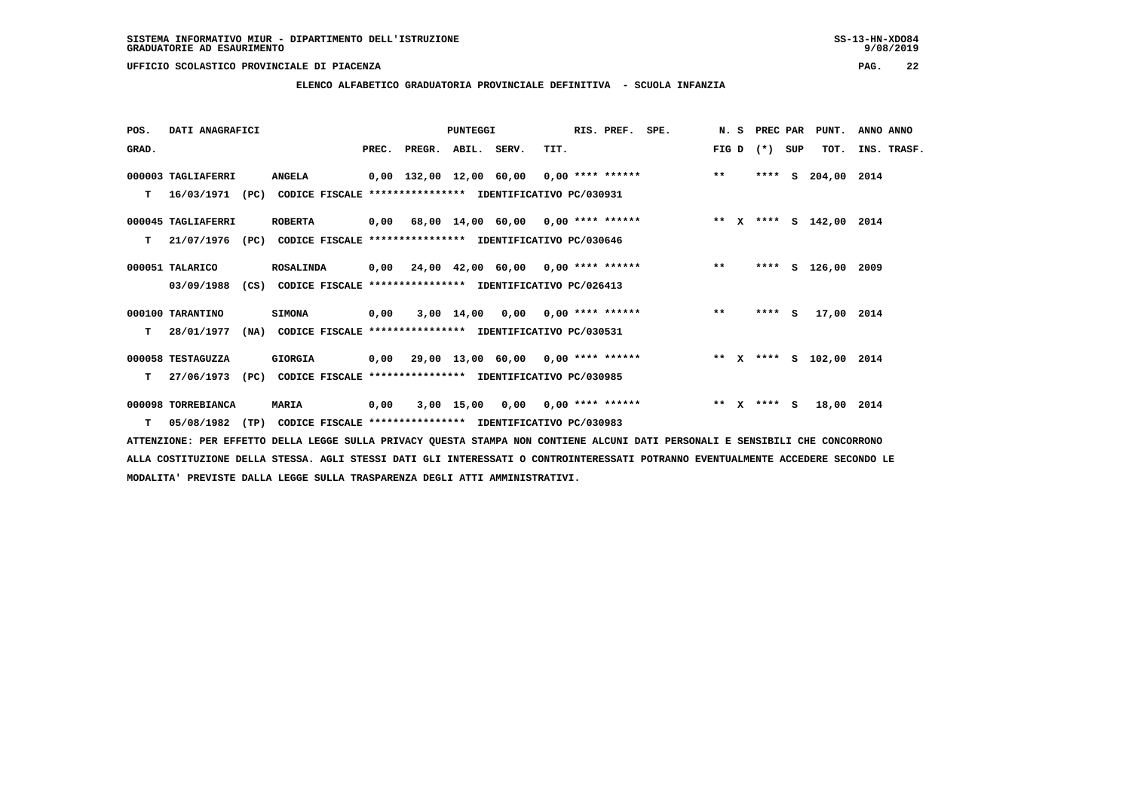**ELENCO ALFABETICO GRADUATORIA PROVINCIALE DEFINITIVA - SCUOLA INFANZIA**

| POS.  | DATI ANAGRAFICI    |                                                                           |      |                                         | PUNTEGGI |                                    |      | RIS. PREF. | SPE.                                                                        |         | N. S PREC PAR |     | PUNT.              | ANNO ANNO   |
|-------|--------------------|---------------------------------------------------------------------------|------|-----------------------------------------|----------|------------------------------------|------|------------|-----------------------------------------------------------------------------|---------|---------------|-----|--------------------|-------------|
| GRAD. |                    |                                                                           |      | PREC. PREGR. ABIL. SERV.                |          |                                    | TIT. |            |                                                                             | FIG D   | $(* )$        | SUP | TOT.               | INS. TRASF. |
|       | 000003 TAGLIAFERRI | <b>ANGELA</b>                                                             |      |                                         |          |                                    |      |            | 0,00 132,00 12,00 60,00 0,00 **** ****** *** ***                            |         | ****          | s   | 204,00 2014        |             |
| т     |                    | 16/03/1971 (PC) CODICE FISCALE **************** IDENTIFICATIVO PC/030931  |      |                                         |          |                                    |      |            |                                                                             |         |               |     |                    |             |
|       | 000045 TAGLIAFERRI | <b>ROBERTA</b>                                                            |      |                                         |          |                                    |      |            | 0,00 68,00 14,00 60,00 0,00 **** ******             ** x **** s 142,00 2014 |         |               |     |                    |             |
| т     | 21/07/1976<br>(PC) | CODICE FISCALE **************** IDENTIFICATIVO PC/030646                  |      |                                         |          |                                    |      |            |                                                                             |         |               |     |                    |             |
|       | 000051 TALARICO    | <b>ROSALINDA</b>                                                          |      | 0,00 24,00 42,00 60,00 0,00 **** ****** |          |                                    |      |            |                                                                             | $**$    |               |     | **** S 126,00 2009 |             |
|       | 03/09/1988         | (CS) CODICE FISCALE **************** IDENTIFICATIVO PC/026413             |      |                                         |          |                                    |      |            |                                                                             |         |               |     |                    |             |
|       | 000100 TARANTINO   | <b>SIMONA</b>                                                             | 0,00 |                                         |          | $3,00$ 14,00 0,00 0,00 **** ****** |      |            | $\star\star$                                                                |         | **** S        |     | 17,00 2014         |             |
| т     | 28/01/1977         | (NA) CODICE FISCALE **************** IDENTIFICATIVO PC/030531             |      |                                         |          |                                    |      |            |                                                                             |         |               |     |                    |             |
|       | 000058 TESTAGUZZA  | GIORGIA                                                                   |      |                                         |          |                                    |      |            | 0,00 29,00 13,00 60,00 0,00 **** ******      ** x **** s 102,00 2014        |         |               |     |                    |             |
| т     | 27/06/1973<br>(PC) | CODICE FISCALE **************** IDENTIFICATIVO PC/030985                  |      |                                         |          |                                    |      |            |                                                                             |         |               |     |                    |             |
|       | 000098 TORREBIANCA | MARIA                                                                     | 0,00 |                                         |          | $3,00$ 15,00 0,00 0,00 **** ****** |      |            |                                                                             | $***$ X | **** S        |     | 18,00 2014         |             |
|       |                    | T 05/08/1982 (TP) CODICE FISCALE *************** IDENTIFICATIVO PC/030983 |      |                                         |          |                                    |      |            |                                                                             |         |               |     |                    |             |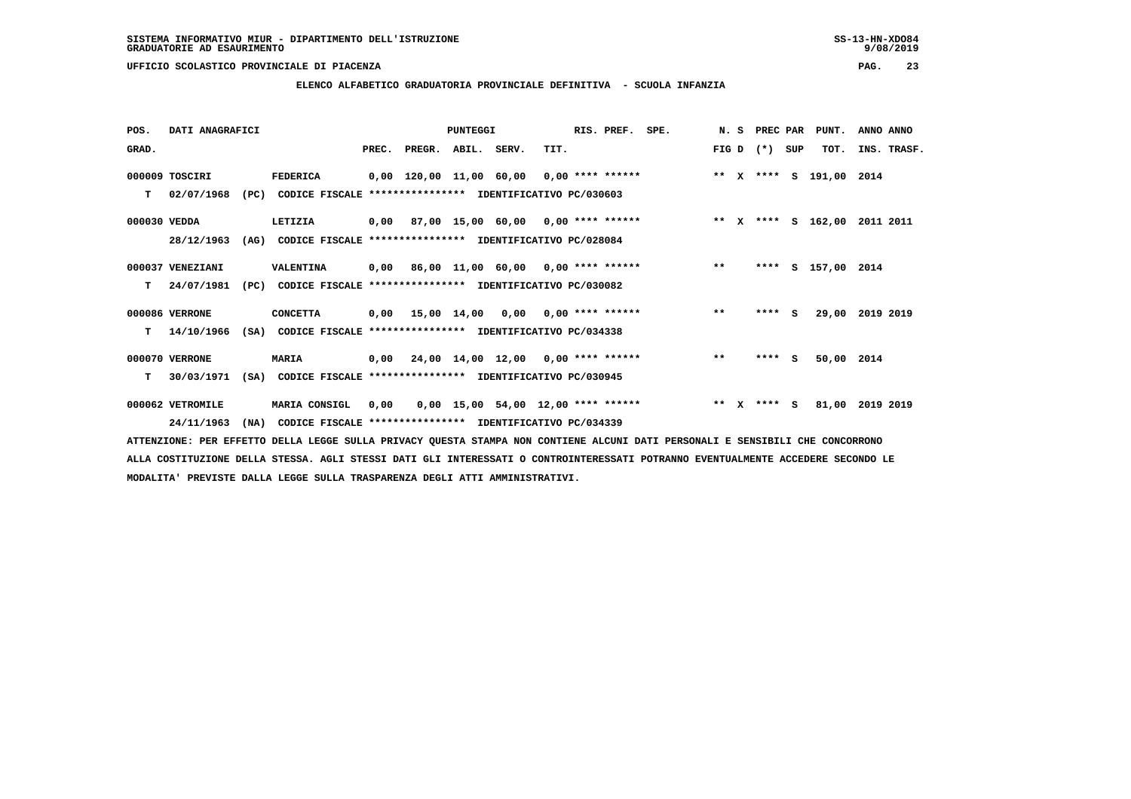**ELENCO ALFABETICO GRADUATORIA PROVINCIALE DEFINITIVA - SCUOLA INFANZIA**

| POS.         | DATI ANAGRAFICI  |      |                                                               |      |                                          | PUNTEGGI |                                      |      | RIS. PREF. | SPE.                                                                     |         | N. S PREC PAR |     | PUNT.              | ANNO ANNO   |
|--------------|------------------|------|---------------------------------------------------------------|------|------------------------------------------|----------|--------------------------------------|------|------------|--------------------------------------------------------------------------|---------|---------------|-----|--------------------|-------------|
| GRAD.        |                  |      |                                                               |      | PREC. PREGR. ABIL. SERV.                 |          |                                      | TIT. |            |                                                                          |         | FIG D $(*)$   | SUP | TOT.               | INS. TRASF. |
|              | 000009 TOSCIRI   |      | FEDERICA                                                      |      | 0,00 120,00 11,00 60,00 0,00 **** ****** |          |                                      |      |            | ** x **** s 191,00 2014                                                  |         |               |     |                    |             |
| т            | 02/07/1968       |      | (PC) CODICE FISCALE **************** IDENTIFICATIVO PC/030603 |      |                                          |          |                                      |      |            |                                                                          |         |               |     |                    |             |
| 000030 VEDDA |                  |      | LETIZIA                                                       |      |                                          |          |                                      |      |            | 0,00 87,00 15,00 60,00 0,00 **** ******               ** x **** s 162,00 |         |               |     |                    | 2011 2011   |
|              | 28/12/1963       | (AG) | CODICE FISCALE **************** IDENTIFICATIVO PC/028084      |      |                                          |          |                                      |      |            |                                                                          |         |               |     |                    |             |
|              | 000037 VENEZIANI |      | VALENTINA                                                     |      | 0,00 86,00 11,00 60,00 0,00 **** ******  |          |                                      |      |            |                                                                          | $**$    |               |     | **** S 157,00 2014 |             |
| T.           | 24/07/1981       | (PC) | CODICE FISCALE **************** IDENTIFICATIVO PC/030082      |      |                                          |          |                                      |      |            |                                                                          |         |               |     |                    |             |
|              | 000086 VERRONE   |      | <b>CONCETTA</b>                                               |      | $0,00$ 15,00 14,00 0,00 0,00 **** ****** |          |                                      |      |            |                                                                          | $***$   | $***$ S       |     | 29,00              | 2019 2019   |
| т            | 14/10/1966       |      | (SA) CODICE FISCALE **************** IDENTIFICATIVO PC/034338 |      |                                          |          |                                      |      |            |                                                                          |         |               |     |                    |             |
|              | 000070 VERRONE   |      | <b>MARIA</b>                                                  |      |                                          |          |                                      |      |            | 0,00 24,00 14,00 12,00 0,00 **** ******                                  | $* *$   | $***$ S       |     | 50,00 2014         |             |
| т            | 30/03/1971       | (SA) | CODICE FISCALE **************** IDENTIFICATIVO PC/030945      |      |                                          |          |                                      |      |            |                                                                          |         |               |     |                    |             |
|              | 000062 VETROMILE |      | MARIA CONSIGL                                                 | 0,00 |                                          |          | $0,00$ 15,00 54,00 12,00 **** ****** |      |            |                                                                          | $***$ X | **** S        |     | 81,00              | 2019 2019   |
|              | 24/11/1963       |      | (NA) CODICE FISCALE **************** IDENTIFICATIVO PC/034339 |      |                                          |          |                                      |      |            |                                                                          |         |               |     |                    |             |